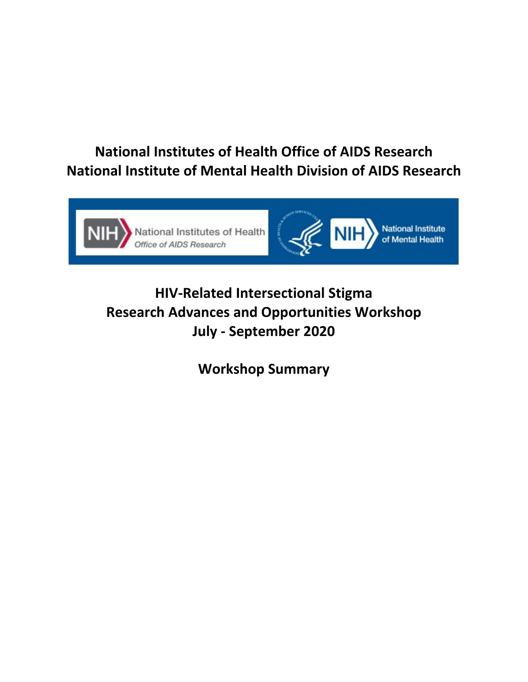# **National Institutes of Health Office of AIDS Research National Institute of Mental Health Division of AIDS Research**



# **HIV-Related Intersectional Stigma Research Advances and Opportunities Workshop July - September 2020**

**Workshop Summary**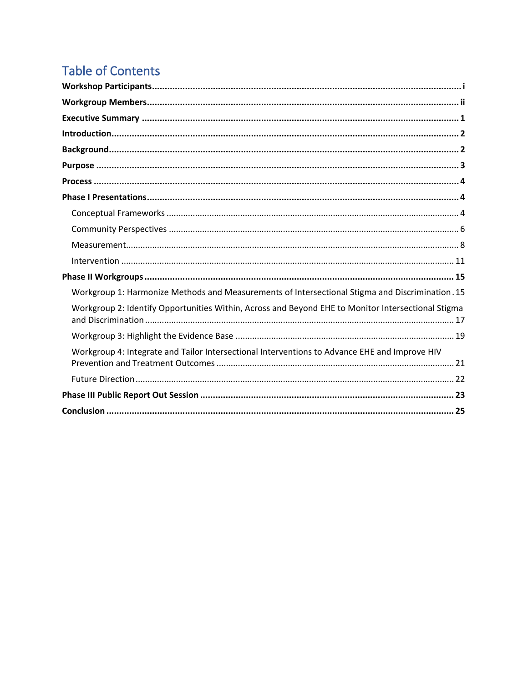# **Table of Contents**

| Workgroup 1: Harmonize Methods and Measurements of Intersectional Stigma and Discrimination . 15   |
|----------------------------------------------------------------------------------------------------|
| Workgroup 2: Identify Opportunities Within, Across and Beyond EHE to Monitor Intersectional Stigma |
|                                                                                                    |
| Workgroup 4: Integrate and Tailor Intersectional Interventions to Advance EHE and Improve HIV      |
|                                                                                                    |
|                                                                                                    |
|                                                                                                    |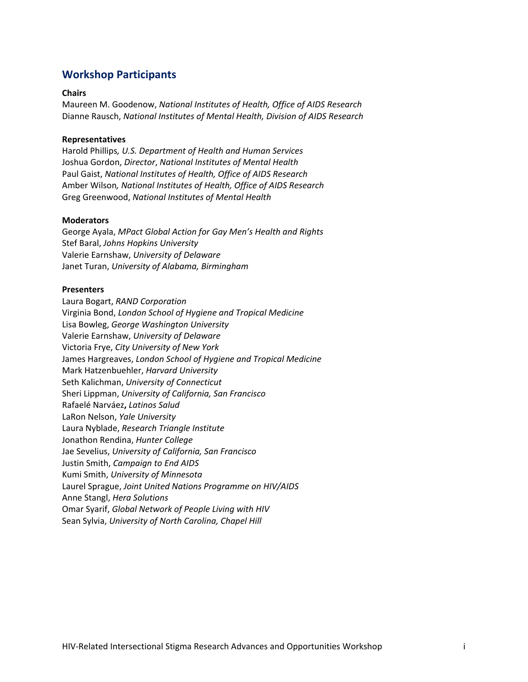# <span id="page-2-0"></span>**Workshop Participants**

#### **Chairs**

Maureen M. Goodenow, *National Institutes of Health, Office of AIDS Research*  Dianne Rausch, *National Institutes of Mental Health, Division of AIDS Research* 

#### **Representatives**

Harold Phillips*, U.S. Department of Health and Human Services* Joshua Gordon, *Director*, *National Institutes of Mental Health* Paul Gaist, *National Institutes of Health, Office of AIDS Research*  Amber Wilson*, National Institutes of Health, Office of AIDS Research* Greg Greenwood, *National Institutes of Mental Health*

#### **Moderators**

George Ayala, *MPact Global Action for Gay Men's Health and Rights* Stef Baral, *Johns Hopkins University* Valerie Earnshaw, *University of Delaware* Janet Turan, *University of Alabama, Birmingham*

#### **Presenters**

Laura Bogart, *RAND Corporation* Virginia Bond, *London School of Hygiene and Tropical Medicine* Lisa Bowleg, *George Washington University* Valerie Earnshaw, *University of Delaware* Victoria Frye, *City University of New York* James Hargreaves, *London School of Hygiene and Tropical Medicine* Mark Hatzenbuehler, *Harvard University* Seth Kalichman, *University of Connecticut* Sheri Lippman, *University of California, San Francisco* Rafaelé Narváez**,** *Latinos Salud* LaRon Nelson, *Yale University* Laura Nyblade, *Research Triangle Institute* Jonathon Rendina, *Hunter College* Jae Sevelius, *University of California, San Francisco* Justin Smith, *Campaign to End AIDS* Kumi Smith, *University of Minnesota* Laurel Sprague, *Joint United Nations Programme on HIV/AIDS* Anne Stangl, *Hera Solutions* Omar Syarif, *Global Network of People Living with HIV* Sean Sylvia, *University of North Carolina, Chapel Hill*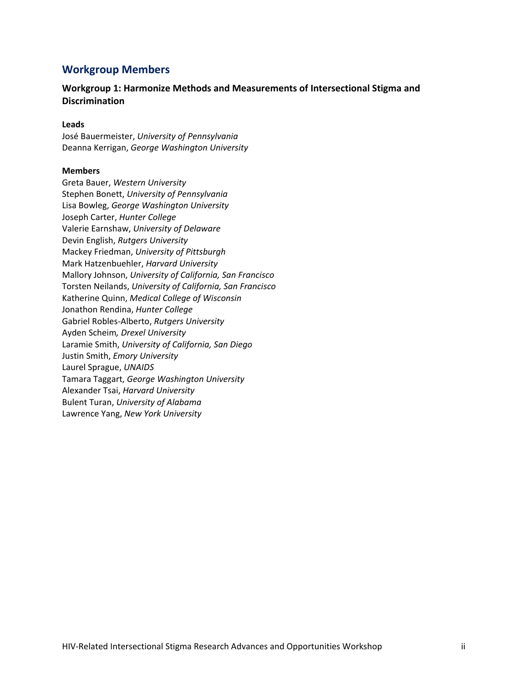# <span id="page-3-0"></span>**Workgroup Members**

## **Workgroup 1: Harmonize Methods and Measurements of Intersectional Stigma and Discrimination**

#### **Leads**

José Bauermeister, *University of Pennsylvania* Deanna Kerrigan, *George Washington University*

## **Members**

Greta Bauer, *Western University* Stephen Bonett, *University of Pennsylvania*  Lisa Bowleg, *George Washington University* Joseph Carter, *Hunter College*  Valerie Earnshaw, *University of Delaware*  Devin English, *Rutgers University* Mackey Friedman, *University of Pittsburgh* Mark Hatzenbuehler, *Harvard University* Mallory Johnson, *University of California, San Francisco* Torsten Neilands, *University of California, San Francisco* Katherine Quinn, *Medical College of Wisconsin* Jonathon Rendina, *Hunter College* Gabriel Robles-Alberto, *Rutgers University* Ayden Scheim*, Drexel University* Laramie Smith, *University of California, San Diego* Justin Smith, *Emory University* Laurel Sprague, *UNAIDS* Tamara Taggart, *George Washington University* Alexander Tsai, *Harvard University* Bulent Turan, *University of Alabama* Lawrence Yang, *New York University*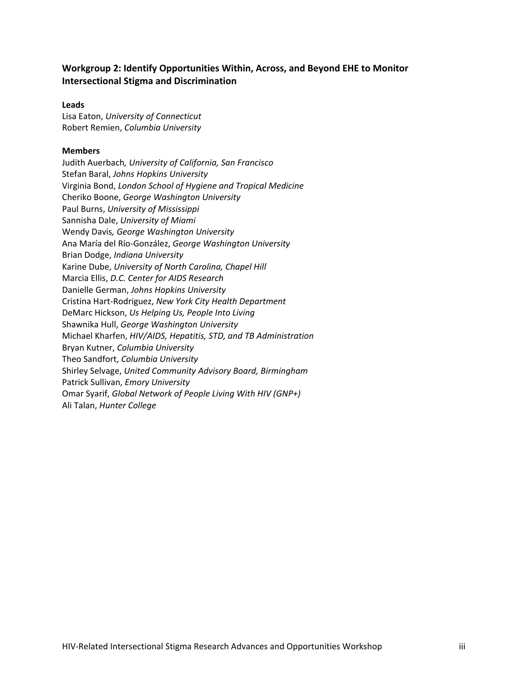## **Workgroup 2: Identify Opportunities Within, Across, and Beyond EHE to Monitor Intersectional Stigma and Discrimination**

## **Leads**

Lisa Eaton, *University of Connecticut* Robert Remien, *Columbia University*

## **Members**

Judith Auerbach*, University of California, San Francisco* Stefan Baral, *Johns Hopkins University* Virginia Bond, *London School of Hygiene and Tropical Medicine* Cheriko Boone, *George Washington University* Paul Burns, *University of Mississippi*  Sannisha Dale, *University of Miami* Wendy Davis*, George Washington University* Ana María del Río-González, *George Washington University* Brian Dodge, *Indiana University* Karine Dube, *University of North Carolina, Chapel Hill* Marcia Ellis, *D.C. Center for AIDS Research* Danielle German, *Johns Hopkins University* Cristina Hart-Rodriguez, *New York City Health Department* DeMarc Hickson, *Us Helping Us, People Into Living* Shawnika Hull, *George Washington University* Michael Kharfen, *HIV/AIDS, Hepatitis, STD, and TB Administration* Bryan Kutner, *Columbia University* Theo Sandfort, *Columbia University* Shirley Selvage, *United Community Advisory Board, Birmingham* Patrick Sullivan, *Emory University* Omar Syarif, *Global Network of People Living With HIV (GNP+)* Ali Talan, *Hunter College*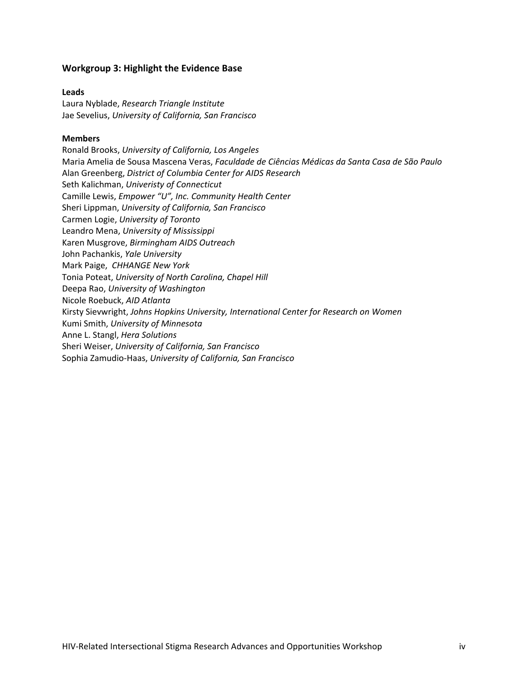## **Workgroup 3: Highlight the Evidence Base**

## **Leads**

Laura Nyblade, *Research Triangle Institute* Jae Sevelius, *University of California, San Francisco*

## **Members**

Ronald Brooks, *University of California, Los Angeles* Maria Amelia de Sousa Mascena Veras, *Faculdade de Ciências Médicas da Santa Casa de São Paulo* Alan Greenberg, *District of Columbia Center for AIDS Research* Seth Kalichman, *Univeristy of Connecticut* Camille Lewis, *Empower "U", Inc. Community Health Center* Sheri Lippman, *University of California, San Francisco* Carmen Logie, *University of Toronto* Leandro Mena, *University of Mississippi* Karen Musgrove, *Birmingham AIDS Outreach* John Pachankis, *Yale University*  Mark Paige, *CHHANGE New York* Tonia Poteat, *University of North Carolina, Chapel Hill* Deepa Rao, *University of Washington* Nicole Roebuck, *AID Atlanta* Kirsty Sievwright, *Johns Hopkins University, International Center for Research on Women* Kumi Smith, *University of Minnesota* Anne L. Stangl, *Hera Solutions* Sheri Weiser, *University of California, San Francisco* Sophia Zamudio-Haas, *University of California, San Francisco*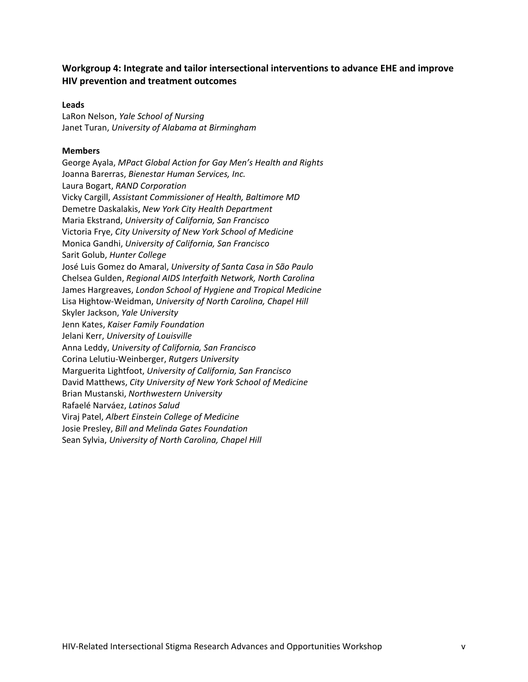## **Workgroup 4: Integrate and tailor intersectional interventions to advance EHE and improve HIV prevention and treatment outcomes**

## **Leads**

LaRon Nelson, *Yale School of Nursing* Janet Turan, *University of Alabama at Birmingham*

#### **Members**

George Ayala, *MPact Global Action for Gay Men's Health and Rights* Joanna Barerras, *Bienestar Human Services, Inc.* Laura Bogart, *RAND Corporation* Vicky Cargill, *Assistant Commissioner of Health, Baltimore MD* Demetre Daskalakis, *New York City Health Department*  Maria Ekstrand, *University of California, San Francisco* Victoria Frye, *City University of New York School of Medicine* Monica Gandhi, *University of California, San Francisco* Sarit Golub, *Hunter College* José Luis Gomez do Amaral, *University of Santa Casa in São Paulo* Chelsea Gulden, *Regional AIDS Interfaith Network, North Carolina* James Hargreaves, *London School of Hygiene and Tropical Medicine* Lisa Hightow-Weidman, *University of North Carolina, Chapel Hill* Skyler Jackson, *Yale University* Jenn Kates, *Kaiser Family Foundation* Jelani Kerr, *University of Louisville* Anna Leddy, *University of California, San Francisco* Corina Lelutiu-Weinberger, *Rutgers University* Marguerita Lightfoot, *University of California, San Francisco* David Matthews, *City University of New York School of Medicine* Brian Mustanski, *Northwestern University* Rafaelé Narváez, *Latinos Salud* Viraj Patel, *Albert Einstein College of Medicine* Josie Presley, *Bill and Melinda Gates Foundation* Sean Sylvia, *University of North Carolina, Chapel Hill*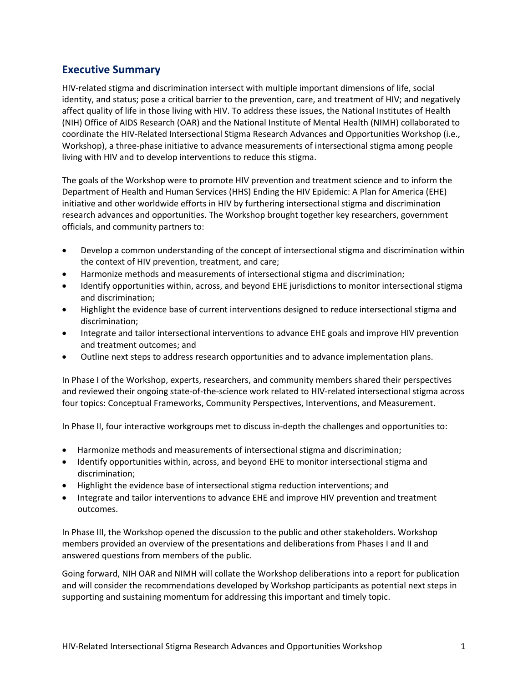# <span id="page-7-0"></span>**Executive Summary**

HIV-related stigma and discrimination intersect with multiple important dimensions of life, social identity, and status; pose a critical barrier to the prevention, care, and treatment of HIV; and negatively affect quality of life in those living with HIV. To address these issues, the National Institutes of Health (NIH) Office of AIDS Research (OAR) and the National Institute of Mental Health (NIMH) collaborated to coordinate the HIV-Related Intersectional Stigma Research Advances and Opportunities Workshop (i.e., Workshop), a three-phase initiative to advance measurements of intersectional stigma among people living with HIV and to develop interventions to reduce this stigma.

The goals of the Workshop were to promote HIV prevention and treatment science and to inform the Department of Health and Human Services (HHS) Ending the HIV Epidemic: A Plan for America (EHE) initiative and other worldwide efforts in HIV by furthering intersectional stigma and discrimination research advances and opportunities. The Workshop brought together key researchers, government officials, and community partners to:

- Develop a common understanding of the concept of intersectional stigma and discrimination within the context of HIV prevention, treatment, and care;
- Harmonize methods and measurements of intersectional stigma and discrimination;
- Identify opportunities within, across, and beyond EHE jurisdictions to monitor intersectional stigma and discrimination;
- Highlight the evidence base of current interventions designed to reduce intersectional stigma and discrimination;
- Integrate and tailor intersectional interventions to advance EHE goals and improve HIV prevention and treatment outcomes; and
- Outline next steps to address research opportunities and to advance implementation plans.

In Phase I of the Workshop, experts, researchers, and community members shared their perspectives and reviewed their ongoing state-of-the-science work related to HIV-related intersectional stigma across four topics: Conceptual Frameworks, Community Perspectives, Interventions, and Measurement.

In Phase II, four interactive workgroups met to discuss in-depth the challenges and opportunities to:

- Harmonize methods and measurements of intersectional stigma and discrimination;
- Identify opportunities within, across, and beyond EHE to monitor intersectional stigma and discrimination;
- Highlight the evidence base of intersectional stigma reduction interventions; and
- Integrate and tailor interventions to advance EHE and improve HIV prevention and treatment outcomes.

In Phase III, the Workshop opened the discussion to the public and other stakeholders. Workshop members provided an overview of the presentations and deliberations from Phases I and II and answered questions from members of the public.

Going forward, NIH OAR and NIMH will collate the Workshop deliberations into a report for publication and will consider the recommendations developed by Workshop participants as potential next steps in supporting and sustaining momentum for addressing this important and timely topic.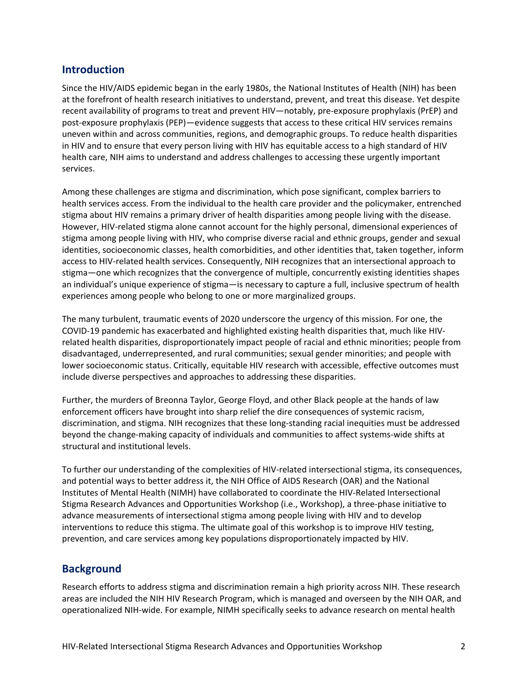# <span id="page-8-0"></span>**Introduction**

Since the HIV/AIDS epidemic began in the early 1980s, the National Institutes of Health (NIH) has been at the forefront of health research initiatives to understand, prevent, and treat this disease. Yet despite recent availability of programs to treat and prevent HIV—notably, pre-exposure prophylaxis (PrEP) and post-exposure prophylaxis (PEP)—evidence suggests that access to these critical HIV services remains uneven within and across communities, regions, and demographic groups. To reduce health disparities in HIV and to ensure that every person living with HIV has equitable access to a high standard of HIV health care, NIH aims to understand and address challenges to accessing these urgently important services.

Among these challenges are stigma and discrimination, which pose significant, complex barriers to health services access. From the individual to the health care provider and the policymaker, entrenched stigma about HIV remains a primary driver of health disparities among people living with the disease. However, HIV-related stigma alone cannot account for the highly personal, dimensional experiences of stigma among people living with HIV, who comprise diverse racial and ethnic groups, gender and sexual identities, socioeconomic classes, health comorbidities, and other identities that, taken together, inform access to HIV-related health services. Consequently, NIH recognizes that an intersectional approach to stigma—one which recognizes that the convergence of multiple, concurrently existing identities shapes an individual's unique experience of stigma—is necessary to capture a full, inclusive spectrum of health experiences among people who belong to one or more marginalized groups.

The many turbulent, traumatic events of 2020 underscore the urgency of this mission. For one, the COVID-19 pandemic has exacerbated and highlighted existing health disparities that, much like HIVrelated health disparities, disproportionately impact people of racial and ethnic minorities; people from disadvantaged, underrepresented, and rural communities; sexual gender minorities; and people with lower socioeconomic status. Critically, equitable HIV research with accessible, effective outcomes must include diverse perspectives and approaches to addressing these disparities.

Further, the murders of Breonna Taylor, George Floyd, and other Black people at the hands of law enforcement officers have brought into sharp relief the dire consequences of systemic racism, discrimination, and stigma. NIH recognizes that these long-standing racial inequities must be addressed beyond the change-making capacity of individuals and communities to affect systems-wide shifts at structural and institutional levels.

To further our understanding of the complexities of HIV-related intersectional stigma, its consequences, and potential ways to better address it, the NIH Office of AIDS Research (OAR) and the National Institutes of Mental Health (NIMH) have collaborated to coordinate the HIV-Related Intersectional Stigma Research Advances and Opportunities Workshop (i.e., Workshop), a three-phase initiative to advance measurements of intersectional stigma among people living with HIV and to develop interventions to reduce this stigma. The ultimate goal of this workshop is to improve HIV testing, prevention, and care services among key populations disproportionately impacted by HIV.

# <span id="page-8-1"></span>**Background**

Research efforts to address stigma and discrimination remain a high priority across NIH. These research areas are included the NIH HIV Research Program, which is managed and overseen by the NIH OAR, and operationalized NIH-wide. For example, NIMH specifically seeks to advance research on mental health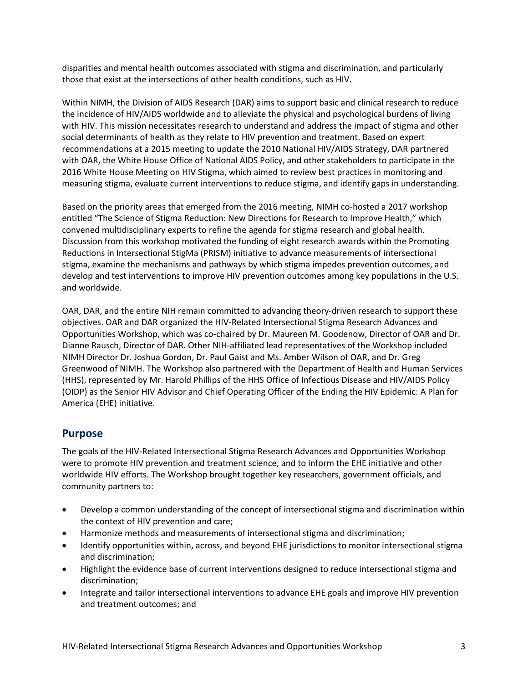disparities and mental health outcomes associated with stigma and discrimination, and particularly those that exist at the intersections of other health conditions, such as HIV.

Within NIMH, the Division of AIDS Research (DAR) aims to support basic and clinical research to reduce the incidence of HIV/AIDS worldwide and to alleviate the physical and psychological burdens of living with HIV. This mission necessitates research to understand and address the impact of stigma and other social determinants of health as they relate to HIV prevention and treatment. Based on expert recommendations at a 2015 meeting to update the 2010 National HIV/AIDS Strategy, DAR partnered with OAR, the White House Office of National AIDS Policy, and other stakeholders to participate in the 2016 White House Meeting on HIV Stigma, which aimed to review best practices in monitoring and measuring stigma, evaluate current interventions to reduce stigma, and identify gaps in understanding.

Based on the priority areas that emerged from the 2016 meeting, NIMH co-hosted a 2017 workshop entitled "The Science of Stigma Reduction: New Directions for Research to Improve Health," which convened multidisciplinary experts to refine the agenda for stigma research and global health. Discussion from this workshop motivated the funding of eight research awards within the Promoting Reductions in Intersectional StigMa (PRISM) initiative to advance measurements of intersectional stigma, examine the mechanisms and pathways by which stigma impedes prevention outcomes, and develop and test interventions to improve HIV prevention outcomes among key populations in the U.S. and worldwide.

OAR, DAR, and the entire NIH remain committed to advancing theory-driven research to support these objectives. OAR and DAR organized the HIV-Related Intersectional Stigma Research Advances and Opportunities Workshop, which was co-chaired by Dr. Maureen M. Goodenow, Director of OAR and Dr. Dianne Rausch, Director of DAR. Other NIH-affiliated lead representatives of the Workshop included NIMH Director Dr. Joshua Gordon, Dr. Paul Gaist and Ms. Amber Wilson of OAR, and Dr. Greg Greenwood of NIMH. The Workshop also partnered with the Department of Health and Human Services (HHS), represented by Mr. Harold Phillips of the HHS Office of Infectious Disease and HIV/AIDS Policy (OIDP) as the Senior HIV Advisor and Chief Operating Officer of the Ending the HIV Epidemic: A Plan for America (EHE) initiative.

## <span id="page-9-0"></span>**Purpose**

The goals of the HIV-Related Intersectional Stigma Research Advances and Opportunities Workshop were to promote HIV prevention and treatment science, and to inform the EHE initiative and other worldwide HIV efforts. The Workshop brought together key researchers, government officials, and community partners to:

- Develop a common understanding of the concept of intersectional stigma and discrimination within the context of HIV prevention and care;
- Harmonize methods and measurements of intersectional stigma and discrimination;
- Identify opportunities within, across, and beyond EHE jurisdictions to monitor intersectional stigma and discrimination;
- Highlight the evidence base of current interventions designed to reduce intersectional stigma and discrimination;
- Integrate and tailor intersectional interventions to advance EHE goals and improve HIV prevention and treatment outcomes; and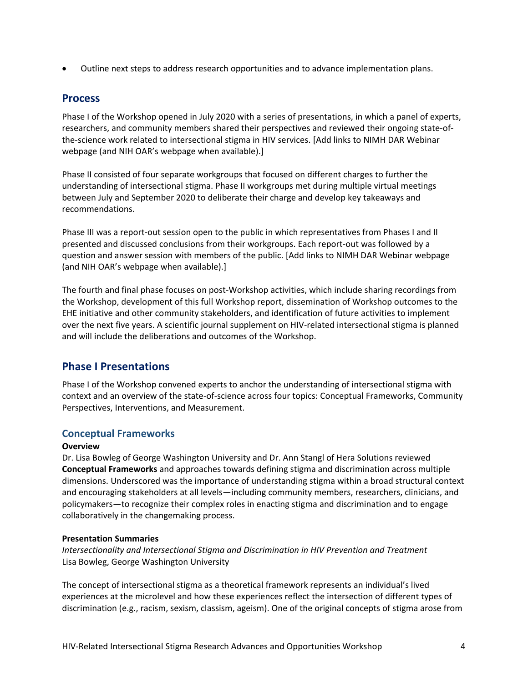• Outline next steps to address research opportunities and to advance implementation plans.

## <span id="page-10-0"></span>**Process**

Phase I of the Workshop opened in July 2020 with a series of presentations, in which a panel of experts, researchers, and community members shared their perspectives and reviewed their ongoing state-ofthe-science work related to intersectional stigma in HIV services. [Add links to NIMH DAR Webinar webpage (and NIH OAR's webpage when available).]

Phase II consisted of four separate workgroups that focused on different charges to further the understanding of intersectional stigma. Phase II workgroups met during multiple virtual meetings between July and September 2020 to deliberate their charge and develop key takeaways and recommendations.

Phase III was a report-out session open to the public in which representatives from Phases I and II presented and discussed conclusions from their workgroups. Each report-out was followed by a question and answer session with members of the public. [Add links to NIMH DAR Webinar webpage (and NIH OAR's webpage when available).]

The fourth and final phase focuses on post-Workshop activities, which include sharing recordings from the Workshop, development of this full Workshop report, dissemination of Workshop outcomes to the EHE initiative and other community stakeholders, and identification of future activities to implement over the next five years. A scientific journal supplement on HIV-related intersectional stigma is planned and will include the deliberations and outcomes of the Workshop.

# <span id="page-10-1"></span>**Phase I Presentations**

Phase I of the Workshop convened experts to anchor the understanding of intersectional stigma with context and an overview of the state-of-science across four topics: Conceptual Frameworks, Community Perspectives, Interventions, and Measurement.

## <span id="page-10-2"></span>**Conceptual Frameworks**

## **Overview**

Dr. Lisa Bowleg of George Washington University and Dr. Ann Stangl of Hera Solutions reviewed **Conceptual Frameworks** and approaches towards defining stigma and discrimination across multiple dimensions. Underscored was the importance of understanding stigma within a broad structural context and encouraging stakeholders at all levels—including community members, researchers, clinicians, and policymakers—to recognize their complex roles in enacting stigma and discrimination and to engage collaboratively in the changemaking process.

## **Presentation Summaries**

*Intersectionality and Intersectional Stigma and Discrimination in HIV Prevention and Treatment* Lisa Bowleg, George Washington University

The concept of intersectional stigma as a theoretical framework represents an individual's lived experiences at the microlevel and how these experiences reflect the intersection of different types of discrimination (e.g., racism, sexism, classism, ageism). One of the original concepts of stigma arose from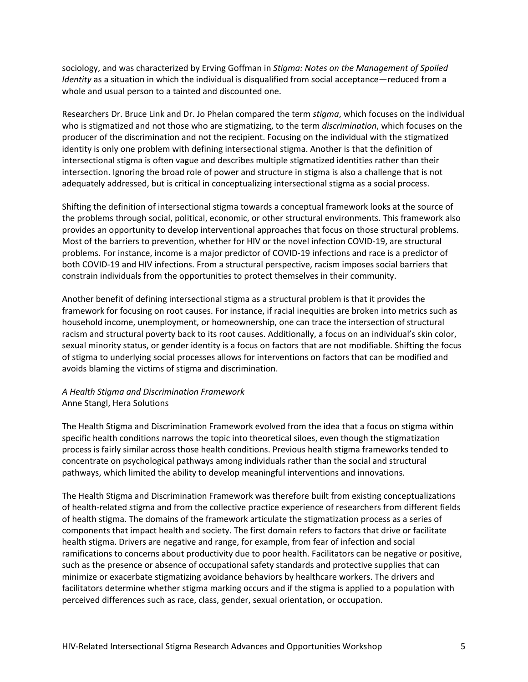sociology, and was characterized by Erving Goffman in *Stigma: Notes on the Management of Spoiled Identity* as a situation in which the individual is disqualified from social acceptance—reduced from a whole and usual person to a tainted and discounted one.

Researchers Dr. Bruce Link and Dr. Jo Phelan compared the term *stigma*, which focuses on the individual who is stigmatized and not those who are stigmatizing, to the term *discrimination*, which focuses on the producer of the discrimination and not the recipient. Focusing on the individual with the stigmatized identity is only one problem with defining intersectional stigma. Another is that the definition of intersectional stigma is often vague and describes multiple stigmatized identities rather than their intersection. Ignoring the broad role of power and structure in stigma is also a challenge that is not adequately addressed, but is critical in conceptualizing intersectional stigma as a social process.

Shifting the definition of intersectional stigma towards a conceptual framework looks at the source of the problems through social, political, economic, or other structural environments. This framework also provides an opportunity to develop interventional approaches that focus on those structural problems. Most of the barriers to prevention, whether for HIV or the novel infection COVID-19, are structural problems. For instance, income is a major predictor of COVID-19 infections and race is a predictor of both COVID-19 and HIV infections. From a structural perspective, racism imposes social barriers that constrain individuals from the opportunities to protect themselves in their community.

Another benefit of defining intersectional stigma as a structural problem is that it provides the framework for focusing on root causes. For instance, if racial inequities are broken into metrics such as household income, unemployment, or homeownership, one can trace the intersection of structural racism and structural poverty back to its root causes. Additionally, a focus on an individual's skin color, sexual minority status, or gender identity is a focus on factors that are not modifiable. Shifting the focus of stigma to underlying social processes allows for interventions on factors that can be modified and avoids blaming the victims of stigma and discrimination.

## *A Health Stigma and Discrimination Framework* Anne Stangl, Hera Solutions

The Health Stigma and Discrimination Framework evolved from the idea that a focus on stigma within specific health conditions narrows the topic into theoretical siloes, even though the stigmatization process is fairly similar across those health conditions. Previous health stigma frameworks tended to concentrate on psychological pathways among individuals rather than the social and structural pathways, which limited the ability to develop meaningful interventions and innovations.

The Health Stigma and Discrimination Framework was therefore built from existing conceptualizations of health-related stigma and from the collective practice experience of researchers from different fields of health stigma. The domains of the framework articulate the stigmatization process as a series of components that impact health and society. The first domain refers to factors that drive or facilitate health stigma. Drivers are negative and range, for example, from fear of infection and social ramifications to concerns about productivity due to poor health. Facilitators can be negative or positive, such as the presence or absence of occupational safety standards and protective supplies that can minimize or exacerbate stigmatizing avoidance behaviors by healthcare workers. The drivers and facilitators determine whether stigma marking occurs and if the stigma is applied to a population with perceived differences such as race, class, gender, sexual orientation, or occupation.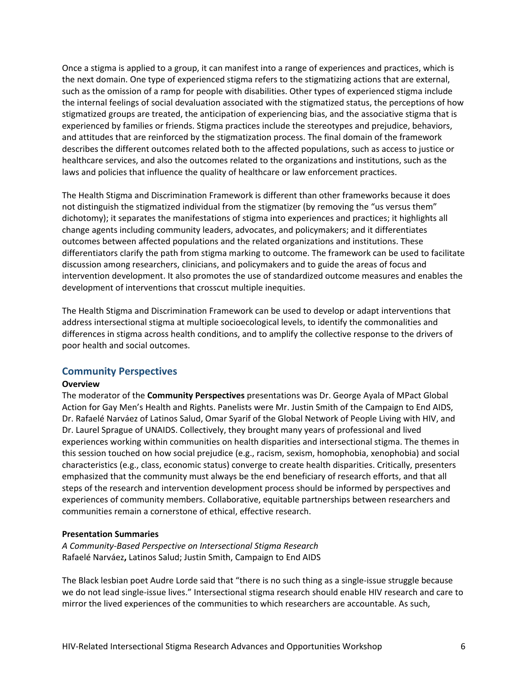Once a stigma is applied to a group, it can manifest into a range of experiences and practices, which is the next domain. One type of experienced stigma refers to the stigmatizing actions that are external, such as the omission of a ramp for people with disabilities. Other types of experienced stigma include the internal feelings of social devaluation associated with the stigmatized status, the perceptions of how stigmatized groups are treated, the anticipation of experiencing bias, and the associative stigma that is experienced by families or friends. Stigma practices include the stereotypes and prejudice, behaviors, and attitudes that are reinforced by the stigmatization process. The final domain of the framework describes the different outcomes related both to the affected populations, such as access to justice or healthcare services, and also the outcomes related to the organizations and institutions, such as the laws and policies that influence the quality of healthcare or law enforcement practices.

The Health Stigma and Discrimination Framework is different than other frameworks because it does not distinguish the stigmatized individual from the stigmatizer (by removing the "us versus them" dichotomy); it separates the manifestations of stigma into experiences and practices; it highlights all change agents including community leaders, advocates, and policymakers; and it differentiates outcomes between affected populations and the related organizations and institutions. These differentiators clarify the path from stigma marking to outcome. The framework can be used to facilitate discussion among researchers, clinicians, and policymakers and to guide the areas of focus and intervention development. It also promotes the use of standardized outcome measures and enables the development of interventions that crosscut multiple inequities.

The Health Stigma and Discrimination Framework can be used to develop or adapt interventions that address intersectional stigma at multiple socioecological levels, to identify the commonalities and differences in stigma across health conditions, and to amplify the collective response to the drivers of poor health and social outcomes.

## <span id="page-12-0"></span>**Community Perspectives**

#### **Overview**

The moderator of the **Community Perspectives** presentations was Dr. George Ayala of MPact Global Action for Gay Men's Health and Rights. Panelists were Mr. Justin Smith of the Campaign to End AIDS, Dr. Rafaelé Narváez of Latinos Salud, Omar Syarif of the Global Network of People Living with HIV, and Dr. Laurel Sprague of UNAIDS. Collectively, they brought many years of professional and lived experiences working within communities on health disparities and intersectional stigma. The themes in this session touched on how social prejudice (e.g., racism, sexism, homophobia, xenophobia) and social characteristics (e.g., class, economic status) converge to create health disparities. Critically, presenters emphasized that the community must always be the end beneficiary of research efforts, and that all steps of the research and intervention development process should be informed by perspectives and experiences of community members. Collaborative, equitable partnerships between researchers and communities remain a cornerstone of ethical, effective research.

## **Presentation Summaries**

*A Community-Based Perspective on Intersectional Stigma Research* Rafaelé Narváez**,** Latinos Salud; Justin Smith, Campaign to End AIDS

The Black lesbian poet Audre Lorde said that "there is no such thing as a single-issue struggle because we do not lead single-issue lives." Intersectional stigma research should enable HIV research and care to mirror the lived experiences of the communities to which researchers are accountable. As such,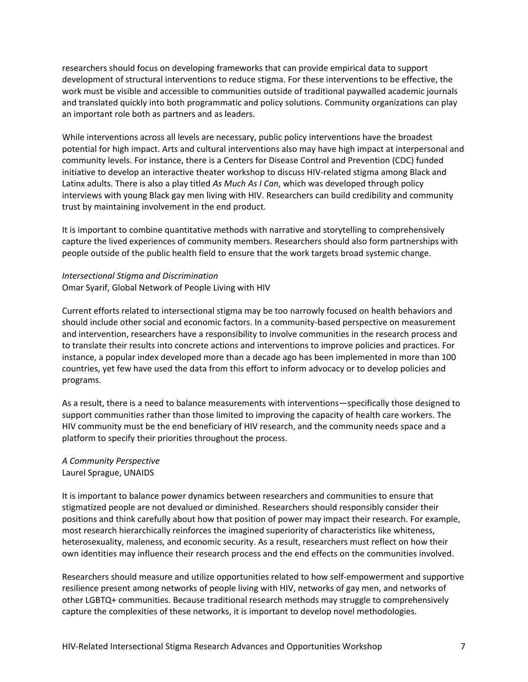researchers should focus on developing frameworks that can provide empirical data to support development of structural interventions to reduce stigma. For these interventions to be effective, the work must be visible and accessible to communities outside of traditional paywalled academic journals and translated quickly into both programmatic and policy solutions. Community organizations can play an important role both as partners and as leaders.

While interventions across all levels are necessary, public policy interventions have the broadest potential for high impact. Arts and cultural interventions also may have high impact at interpersonal and community levels. For instance, there is a Centers for Disease Control and Prevention (CDC) funded initiative to develop an interactive theater workshop to discuss HIV-related stigma among Black and Latinx adults. There is also a play titled *As Much As I Can*, which was developed through policy interviews with young Black gay men living with HIV. Researchers can build credibility and community trust by maintaining involvement in the end product.

It is important to combine quantitative methods with narrative and storytelling to comprehensively capture the lived experiences of community members. Researchers should also form partnerships with people outside of the public health field to ensure that the work targets broad systemic change.

## *Intersectional Stigma and Discrimination* Omar Syarif, Global Network of People Living with HIV

Current efforts related to intersectional stigma may be too narrowly focused on health behaviors and should include other social and economic factors. In a community-based perspective on measurement and intervention, researchers have a responsibility to involve communities in the research process and to translate their results into concrete actions and interventions to improve policies and practices. For instance, a popular index developed more than a decade ago has been implemented in more than 100 countries, yet few have used the data from this effort to inform advocacy or to develop policies and programs.

As a result, there is a need to balance measurements with interventions—specifically those designed to support communities rather than those limited to improving the capacity of health care workers. The HIV community must be the end beneficiary of HIV research, and the community needs space and a platform to specify their priorities throughout the process.

## *A Community Perspective* Laurel Sprague, UNAIDS

It is important to balance power dynamics between researchers and communities to ensure that stigmatized people are not devalued or diminished. Researchers should responsibly consider their positions and think carefully about how that position of power may impact their research. For example, most research hierarchically reinforces the imagined superiority of characteristics like whiteness, heterosexuality, maleness, and economic security. As a result, researchers must reflect on how their own identities may influence their research process and the end effects on the communities involved.

Researchers should measure and utilize opportunities related to how self-empowerment and supportive resilience present among networks of people living with HIV, networks of gay men, and networks of other LGBTQ+ communities. Because traditional research methods may struggle to comprehensively capture the complexities of these networks, it is important to develop novel methodologies.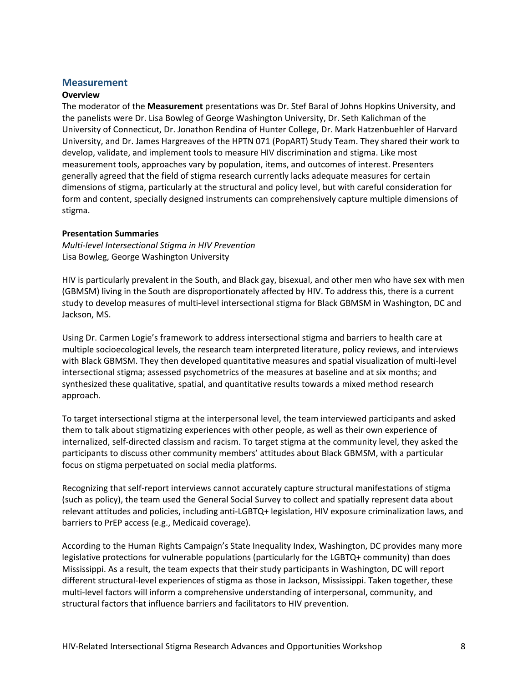## <span id="page-14-0"></span>**Measurement**

#### **Overview**

The moderator of the **Measurement** presentations was Dr. Stef Baral of Johns Hopkins University, and the panelists were Dr. Lisa Bowleg of George Washington University, Dr. Seth Kalichman of the University of Connecticut, Dr. Jonathon Rendina of Hunter College, Dr. Mark Hatzenbuehler of Harvard University, and Dr. James Hargreaves of the HPTN 071 (PopART) Study Team. They shared their work to develop, validate, and implement tools to measure HIV discrimination and stigma. Like most measurement tools, approaches vary by population, items, and outcomes of interest. Presenters generally agreed that the field of stigma research currently lacks adequate measures for certain dimensions of stigma, particularly at the structural and policy level, but with careful consideration for form and content, specially designed instruments can comprehensively capture multiple dimensions of stigma.

## **Presentation Summaries**

*Multi-level Intersectional Stigma in HIV Prevention* Lisa Bowleg, George Washington University

HIV is particularly prevalent in the South, and Black gay, bisexual, and other men who have sex with men (GBMSM) living in the South are disproportionately affected by HIV. To address this, there is a current study to develop measures of multi-level intersectional stigma for Black GBMSM in Washington, DC and Jackson, MS.

Using Dr. Carmen Logie's framework to address intersectional stigma and barriers to health care at multiple socioecological levels, the research team interpreted literature, policy reviews, and interviews with Black GBMSM. They then developed quantitative measures and spatial visualization of multi-level intersectional stigma; assessed psychometrics of the measures at baseline and at six months; and synthesized these qualitative, spatial, and quantitative results towards a mixed method research approach.

To target intersectional stigma at the interpersonal level, the team interviewed participants and asked them to talk about stigmatizing experiences with other people, as well as their own experience of internalized, self-directed classism and racism. To target stigma at the community level, they asked the participants to discuss other community members' attitudes about Black GBMSM, with a particular focus on stigma perpetuated on social media platforms.

Recognizing that self-report interviews cannot accurately capture structural manifestations of stigma (such as policy), the team used the General Social Survey to collect and spatially represent data about relevant attitudes and policies, including anti-LGBTQ+ legislation, HIV exposure criminalization laws, and barriers to PrEP access (e.g., Medicaid coverage).

According to the Human Rights Campaign's State Inequality Index, Washington, DC provides many more legislative protections for vulnerable populations (particularly for the LGBTQ+ community) than does Mississippi. As a result, the team expects that their study participants in Washington, DC will report different structural-level experiences of stigma as those in Jackson, Mississippi. Taken together, these multi-level factors will inform a comprehensive understanding of interpersonal, community, and structural factors that influence barriers and facilitators to HIV prevention.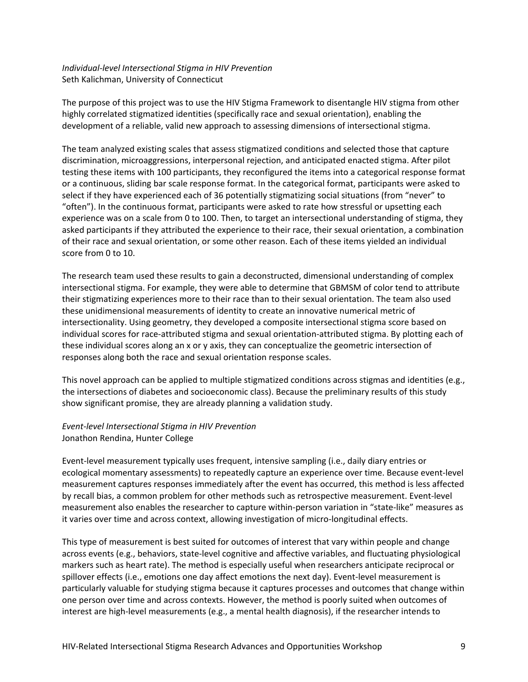## *Individual-level Intersectional Stigma in HIV Prevention* Seth Kalichman, University of Connecticut

The purpose of this project was to use the HIV Stigma Framework to disentangle HIV stigma from other highly correlated stigmatized identities (specifically race and sexual orientation), enabling the development of a reliable, valid new approach to assessing dimensions of intersectional stigma.

The team analyzed existing scales that assess stigmatized conditions and selected those that capture discrimination, microaggressions, interpersonal rejection, and anticipated enacted stigma. After pilot testing these items with 100 participants, they reconfigured the items into a categorical response format or a continuous, sliding bar scale response format. In the categorical format, participants were asked to select if they have experienced each of 36 potentially stigmatizing social situations (from "never" to "often"). In the continuous format, participants were asked to rate how stressful or upsetting each experience was on a scale from 0 to 100. Then, to target an intersectional understanding of stigma, they asked participants if they attributed the experience to their race, their sexual orientation, a combination of their race and sexual orientation, or some other reason. Each of these items yielded an individual score from 0 to 10.

The research team used these results to gain a deconstructed, dimensional understanding of complex intersectional stigma. For example, they were able to determine that GBMSM of color tend to attribute their stigmatizing experiences more to their race than to their sexual orientation. The team also used these unidimensional measurements of identity to create an innovative numerical metric of intersectionality. Using geometry, they developed a composite intersectional stigma score based on individual scores for race-attributed stigma and sexual orientation-attributed stigma. By plotting each of these individual scores along an x or y axis, they can conceptualize the geometric intersection of responses along both the race and sexual orientation response scales.

This novel approach can be applied to multiple stigmatized conditions across stigmas and identities (e.g., the intersections of diabetes and socioeconomic class). Because the preliminary results of this study show significant promise, they are already planning a validation study.

## *Event-level Intersectional Stigma in HIV Prevention* Jonathon Rendina, Hunter College

Event-level measurement typically uses frequent, intensive sampling (i.e., daily diary entries or ecological momentary assessments) to repeatedly capture an experience over time. Because event-level measurement captures responses immediately after the event has occurred, this method is less affected by recall bias, a common problem for other methods such as retrospective measurement. Event-level measurement also enables the researcher to capture within-person variation in "state-like" measures as it varies over time and across context, allowing investigation of micro-longitudinal effects.

This type of measurement is best suited for outcomes of interest that vary within people and change across events (e.g., behaviors, state-level cognitive and affective variables, and fluctuating physiological markers such as heart rate). The method is especially useful when researchers anticipate reciprocal or spillover effects (i.e., emotions one day affect emotions the next day). Event-level measurement is particularly valuable for studying stigma because it captures processes and outcomes that change within one person over time and across contexts. However, the method is poorly suited when outcomes of interest are high-level measurements (e.g., a mental health diagnosis), if the researcher intends to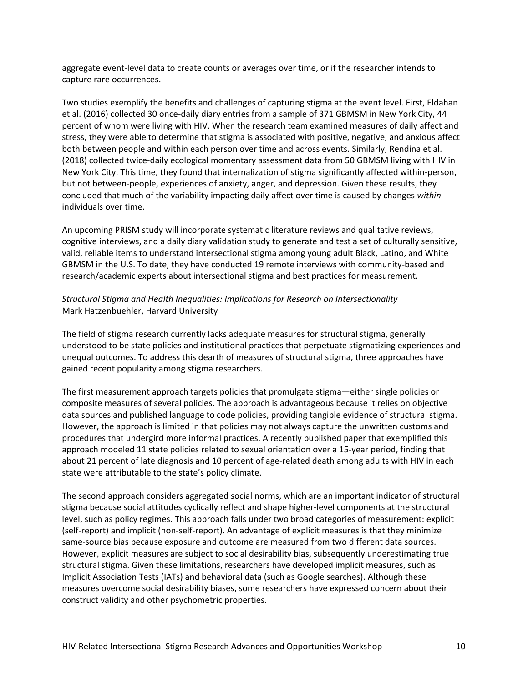aggregate event-level data to create counts or averages over time, or if the researcher intends to capture rare occurrences.

Two studies exemplify the benefits and challenges of capturing stigma at the event level. First, Eldahan et al. (2016) collected 30 once-daily diary entries from a sample of 371 GBMSM in New York City, 44 percent of whom were living with HIV. When the research team examined measures of daily affect and stress, they were able to determine that stigma is associated with positive, negative, and anxious affect both between people and within each person over time and across events. Similarly, Rendina et al. (2018) collected twice-daily ecological momentary assessment data from 50 GBMSM living with HIV in New York City. This time, they found that internalization of stigma significantly affected within-person, but not between-people, experiences of anxiety, anger, and depression. Given these results, they concluded that much of the variability impacting daily affect over time is caused by changes *within* individuals over time.

An upcoming PRISM study will incorporate systematic literature reviews and qualitative reviews, cognitive interviews, and a daily diary validation study to generate and test a set of culturally sensitive, valid, reliable items to understand intersectional stigma among young adult Black, Latino, and White GBMSM in the U.S. To date, they have conducted 19 remote interviews with community-based and research/academic experts about intersectional stigma and best practices for measurement.

## *Structural Stigma and Health Inequalities: Implications for Research on Intersectionality* Mark Hatzenbuehler, Harvard University

The field of stigma research currently lacks adequate measures for structural stigma, generally understood to be state policies and institutional practices that perpetuate stigmatizing experiences and unequal outcomes. To address this dearth of measures of structural stigma, three approaches have gained recent popularity among stigma researchers.

The first measurement approach targets policies that promulgate stigma—either single policies or composite measures of several policies. The approach is advantageous because it relies on objective data sources and published language to code policies, providing tangible evidence of structural stigma. However, the approach is limited in that policies may not always capture the unwritten customs and procedures that undergird more informal practices. A recently published paper that exemplified this approach modeled 11 state policies related to sexual orientation over a 15-year period, finding that about 21 percent of late diagnosis and 10 percent of age-related death among adults with HIV in each state were attributable to the state's policy climate.

The second approach considers aggregated social norms, which are an important indicator of structural stigma because social attitudes cyclically reflect and shape higher-level components at the structural level, such as policy regimes. This approach falls under two broad categories of measurement: explicit (self-report) and implicit (non-self-report). An advantage of explicit measures is that they minimize same-source bias because exposure and outcome are measured from two different data sources. However, explicit measures are subject to social desirability bias, subsequently underestimating true structural stigma. Given these limitations, researchers have developed implicit measures, such as Implicit Association Tests (IATs) and behavioral data (such as Google searches). Although these measures overcome social desirability biases, some researchers have expressed concern about their construct validity and other psychometric properties.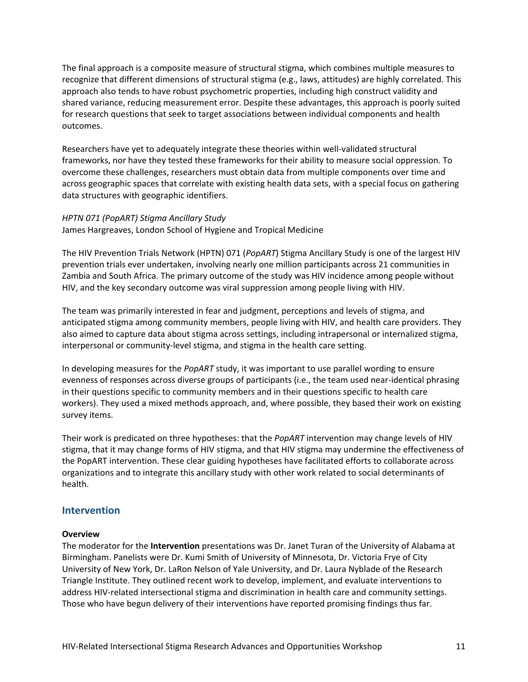The final approach is a composite measure of structural stigma, which combines multiple measures to recognize that different dimensions of structural stigma (e.g., laws, attitudes) are highly correlated. This approach also tends to have robust psychometric properties, including high construct validity and shared variance, reducing measurement error. Despite these advantages, this approach is poorly suited for research questions that seek to target associations between individual components and health outcomes.

Researchers have yet to adequately integrate these theories within well-validated structural frameworks, nor have they tested these frameworks for their ability to measure social oppression. To overcome these challenges, researchers must obtain data from multiple components over time and across geographic spaces that correlate with existing health data sets, with a special focus on gathering data structures with geographic identifiers.

## *HPTN 071 (PopART) Stigma Ancillary Study*

James Hargreaves, London School of Hygiene and Tropical Medicine

The HIV Prevention Trials Network (HPTN) 071 (*PopART*) Stigma Ancillary Study is one of the largest HIV prevention trials ever undertaken, involving nearly one million participants across 21 communities in Zambia and South Africa. The primary outcome of the study was HIV incidence among people without HIV, and the key secondary outcome was viral suppression among people living with HIV.

The team was primarily interested in fear and judgment, perceptions and levels of stigma, and anticipated stigma among community members, people living with HIV, and health care providers. They also aimed to capture data about stigma across settings, including intrapersonal or internalized stigma, interpersonal or community-level stigma, and stigma in the health care setting.

In developing measures for the *PopART* study, it was important to use parallel wording to ensure evenness of responses across diverse groups of participants (i.e., the team used near-identical phrasing in their questions specific to community members and in their questions specific to health care workers). They used a mixed methods approach, and, where possible, they based their work on existing survey items.

Their work is predicated on three hypotheses: that the *PopART* intervention may change levels of HIV stigma, that it may change forms of HIV stigma, and that HIV stigma may undermine the effectiveness of the PopART intervention. These clear guiding hypotheses have facilitated efforts to collaborate across organizations and to integrate this ancillary study with other work related to social determinants of health.

## <span id="page-17-0"></span>**Intervention**

#### **Overview**

The moderator for the **Intervention** presentations was Dr. Janet Turan of the University of Alabama at Birmingham. Panelists were Dr. Kumi Smith of University of Minnesota, Dr. Victoria Frye of City University of New York, Dr. LaRon Nelson of Yale University, and Dr. Laura Nyblade of the Research Triangle Institute. They outlined recent work to develop, implement, and evaluate interventions to address HIV-related intersectional stigma and discrimination in health care and community settings. Those who have begun delivery of their interventions have reported promising findings thus far.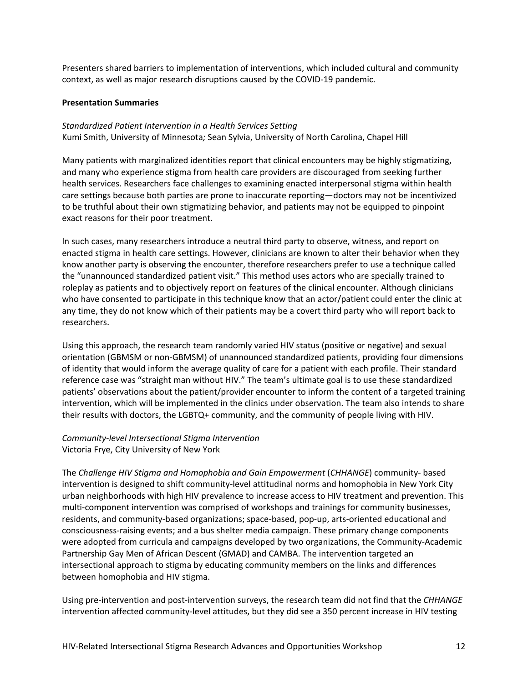Presenters shared barriers to implementation of interventions, which included cultural and community context, as well as major research disruptions caused by the COVID-19 pandemic.

## **Presentation Summaries**

*Standardized Patient Intervention in a Health Services Setting* Kumi Smith, University of Minnesota*;* Sean Sylvia, University of North Carolina, Chapel Hill

Many patients with marginalized identities report that clinical encounters may be highly stigmatizing, and many who experience stigma from health care providers are discouraged from seeking further health services. Researchers face challenges to examining enacted interpersonal stigma within health care settings because both parties are prone to inaccurate reporting—doctors may not be incentivized to be truthful about their own stigmatizing behavior, and patients may not be equipped to pinpoint exact reasons for their poor treatment.

In such cases, many researchers introduce a neutral third party to observe, witness, and report on enacted stigma in health care settings. However, clinicians are known to alter their behavior when they know another party is observing the encounter, therefore researchers prefer to use a technique called the "unannounced standardized patient visit." This method uses actors who are specially trained to roleplay as patients and to objectively report on features of the clinical encounter. Although clinicians who have consented to participate in this technique know that an actor/patient could enter the clinic at any time, they do not know which of their patients may be a covert third party who will report back to researchers.

Using this approach, the research team randomly varied HIV status (positive or negative) and sexual orientation (GBMSM or non-GBMSM) of unannounced standardized patients, providing four dimensions of identity that would inform the average quality of care for a patient with each profile. Their standard reference case was "straight man without HIV." The team's ultimate goal is to use these standardized patients' observations about the patient/provider encounter to inform the content of a targeted training intervention, which will be implemented in the clinics under observation. The team also intends to share their results with doctors, the LGBTQ+ community, and the community of people living with HIV.

## *Community-level Intersectional Stigma Intervention* Victoria Frye, City University of New York

The *Challenge HIV Stigma and Homophobia and Gain Empowerment* (*CHHANGE*) community- based intervention is designed to shift community-level attitudinal norms and homophobia in New York City urban neighborhoods with high HIV prevalence to increase access to HIV treatment and prevention. This multi-component intervention was comprised of workshops and trainings for community businesses, residents, and community-based organizations; space-based, pop-up, arts-oriented educational and consciousness-raising events; and a bus shelter media campaign. These primary change components were adopted from curricula and campaigns developed by two organizations, the Community-Academic Partnership Gay Men of African Descent (GMAD) and CAMBA. The intervention targeted an intersectional approach to stigma by educating community members on the links and differences between homophobia and HIV stigma.

Using pre-intervention and post-intervention surveys, the research team did not find that the *CHHANGE* intervention affected community-level attitudes, but they did see a 350 percent increase in HIV testing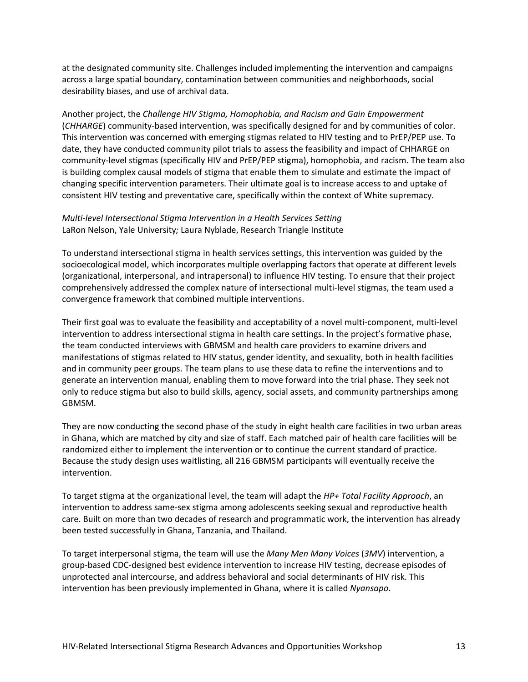at the designated community site. Challenges included implementing the intervention and campaigns across a large spatial boundary, contamination between communities and neighborhoods, social desirability biases, and use of archival data.

Another project, the *Challenge HIV Stigma, Homophobia, and Racism and Gain Empowerment* (*CHHARGE*) community-based intervention, was specifically designed for and by communities of color. This intervention was concerned with emerging stigmas related to HIV testing and to PrEP/PEP use. To date, they have conducted community pilot trials to assess the feasibility and impact of CHHARGE on community-level stigmas (specifically HIV and PrEP/PEP stigma), homophobia, and racism. The team also is building complex causal models of stigma that enable them to simulate and estimate the impact of changing specific intervention parameters. Their ultimate goal is to increase access to and uptake of consistent HIV testing and preventative care, specifically within the context of White supremacy.

## *Multi-level Intersectional Stigma Intervention in a Health Services Setting* LaRon Nelson, Yale University*;* Laura Nyblade, Research Triangle Institute

To understand intersectional stigma in health services settings, this intervention was guided by the socioecological model, which incorporates multiple overlapping factors that operate at different levels (organizational, interpersonal, and intrapersonal) to influence HIV testing. To ensure that their project comprehensively addressed the complex nature of intersectional multi-level stigmas, the team used a convergence framework that combined multiple interventions.

Their first goal was to evaluate the feasibility and acceptability of a novel multi-component, multi-level intervention to address intersectional stigma in health care settings. In the project's formative phase, the team conducted interviews with GBMSM and health care providers to examine drivers and manifestations of stigmas related to HIV status, gender identity, and sexuality, both in health facilities and in community peer groups. The team plans to use these data to refine the interventions and to generate an intervention manual, enabling them to move forward into the trial phase. They seek not only to reduce stigma but also to build skills, agency, social assets, and community partnerships among GBMSM.

They are now conducting the second phase of the study in eight health care facilities in two urban areas in Ghana, which are matched by city and size of staff. Each matched pair of health care facilities will be randomized either to implement the intervention or to continue the current standard of practice. Because the study design uses waitlisting, all 216 GBMSM participants will eventually receive the intervention.

To target stigma at the organizational level, the team will adapt the *HP+ Total Facility Approach*, an intervention to address same-sex stigma among adolescents seeking sexual and reproductive health care. Built on more than two decades of research and programmatic work, the intervention has already been tested successfully in Ghana, Tanzania, and Thailand.

To target interpersonal stigma, the team will use the *Many Men Many Voices* (*3MV*) intervention, a group-based CDC-designed best evidence intervention to increase HIV testing, decrease episodes of unprotected anal intercourse, and address behavioral and social determinants of HIV risk. This intervention has been previously implemented in Ghana, where it is called *Nyansapo*.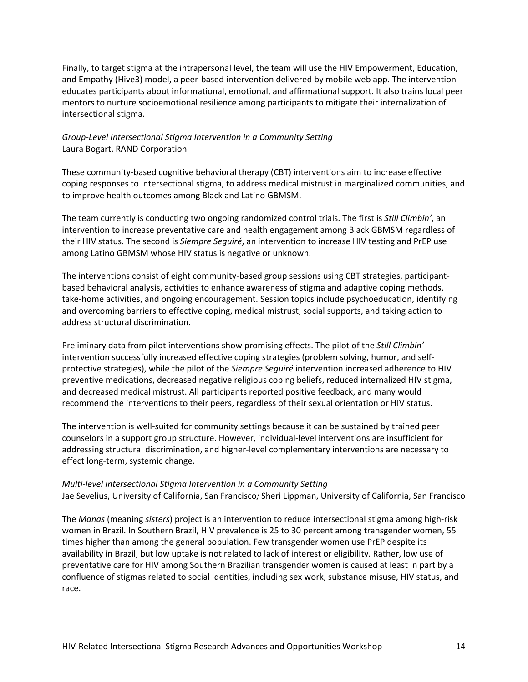Finally, to target stigma at the intrapersonal level, the team will use the HIV Empowerment, Education, and Empathy (Hive3) model, a peer-based intervention delivered by mobile web app. The intervention educates participants about informational, emotional, and affirmational support. It also trains local peer mentors to nurture socioemotional resilience among participants to mitigate their internalization of intersectional stigma.

## *Group-Level Intersectional Stigma Intervention in a Community Setting* Laura Bogart, RAND Corporation

These community-based cognitive behavioral therapy (CBT) interventions aim to increase effective coping responses to intersectional stigma, to address medical mistrust in marginalized communities, and to improve health outcomes among Black and Latino GBMSM.

The team currently is conducting two ongoing randomized control trials. The first is *Still Climbin'*, an intervention to increase preventative care and health engagement among Black GBMSM regardless of their HIV status. The second is *Siempre Seguiré*, an intervention to increase HIV testing and PrEP use among Latino GBMSM whose HIV status is negative or unknown.

The interventions consist of eight community-based group sessions using CBT strategies, participantbased behavioral analysis, activities to enhance awareness of stigma and adaptive coping methods, take-home activities, and ongoing encouragement. Session topics include psychoeducation, identifying and overcoming barriers to effective coping, medical mistrust, social supports, and taking action to address structural discrimination.

Preliminary data from pilot interventions show promising effects. The pilot of the *Still Climbin'* intervention successfully increased effective coping strategies (problem solving, humor, and selfprotective strategies), while the pilot of the *Siempre Seguiré* intervention increased adherence to HIV preventive medications, decreased negative religious coping beliefs, reduced internalized HIV stigma, and decreased medical mistrust. All participants reported positive feedback, and many would recommend the interventions to their peers, regardless of their sexual orientation or HIV status.

The intervention is well-suited for community settings because it can be sustained by trained peer counselors in a support group structure. However, individual-level interventions are insufficient for addressing structural discrimination, and higher-level complementary interventions are necessary to effect long-term, systemic change.

## *Multi-level Intersectional Stigma Intervention in a Community Setting* Jae Sevelius, University of California, San Francisco*;* Sheri Lippman, University of California, San Francisco

The *Manas* (meaning *sisters*) project is an intervention to reduce intersectional stigma among high-risk women in Brazil. In Southern Brazil, HIV prevalence is 25 to 30 percent among transgender women, 55 times higher than among the general population. Few transgender women use PrEP despite its availability in Brazil, but low uptake is not related to lack of interest or eligibility. Rather, low use of preventative care for HIV among Southern Brazilian transgender women is caused at least in part by a confluence of stigmas related to social identities, including sex work, substance misuse, HIV status, and race.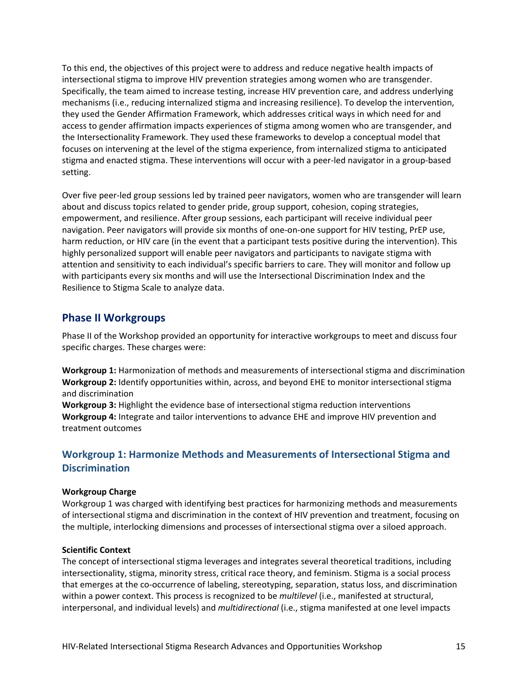To this end, the objectives of this project were to address and reduce negative health impacts of intersectional stigma to improve HIV prevention strategies among women who are transgender. Specifically, the team aimed to increase testing, increase HIV prevention care, and address underlying mechanisms (i.e., reducing internalized stigma and increasing resilience). To develop the intervention, they used the Gender Affirmation Framework, which addresses critical ways in which need for and access to gender affirmation impacts experiences of stigma among women who are transgender, and the Intersectionality Framework. They used these frameworks to develop a conceptual model that focuses on intervening at the level of the stigma experience, from internalized stigma to anticipated stigma and enacted stigma. These interventions will occur with a peer-led navigator in a group-based setting.

Over five peer-led group sessions led by trained peer navigators, women who are transgender will learn about and discuss topics related to gender pride, group support, cohesion, coping strategies, empowerment, and resilience. After group sessions, each participant will receive individual peer navigation. Peer navigators will provide six months of one-on-one support for HIV testing, PrEP use, harm reduction, or HIV care (in the event that a participant tests positive during the intervention). This highly personalized support will enable peer navigators and participants to navigate stigma with attention and sensitivity to each individual's specific barriers to care. They will monitor and follow up with participants every six months and will use the Intersectional Discrimination Index and the Resilience to Stigma Scale to analyze data.

## <span id="page-21-0"></span>**Phase II Workgroups**

Phase II of the Workshop provided an opportunity for interactive workgroups to meet and discuss four specific charges. These charges were:

**Workgroup 1:** Harmonization of methods and measurements of intersectional stigma and discrimination **Workgroup 2:** Identify opportunities within, across, and beyond EHE to monitor intersectional stigma and discrimination

**Workgroup 3:** Highlight the evidence base of intersectional stigma reduction interventions **Workgroup 4:** Integrate and tailor interventions to advance EHE and improve HIV prevention and treatment outcomes

## <span id="page-21-1"></span>**Workgroup 1: Harmonize Methods and Measurements of Intersectional Stigma and Discrimination**

#### **Workgroup Charge**

Workgroup 1 was charged with identifying best practices for harmonizing methods and measurements of intersectional stigma and discrimination in the context of HIV prevention and treatment, focusing on the multiple, interlocking dimensions and processes of intersectional stigma over a siloed approach.

#### **Scientific Context**

The concept of intersectional stigma leverages and integrates several theoretical traditions, including intersectionality, stigma, minority stress, critical race theory, and feminism. Stigma is a social process that emerges at the co-occurrence of labeling, stereotyping, separation, status loss, and discrimination within a power context. This process is recognized to be *multilevel* (i.e., manifested at structural, interpersonal, and individual levels) and *multidirectional* (i.e., stigma manifested at one level impacts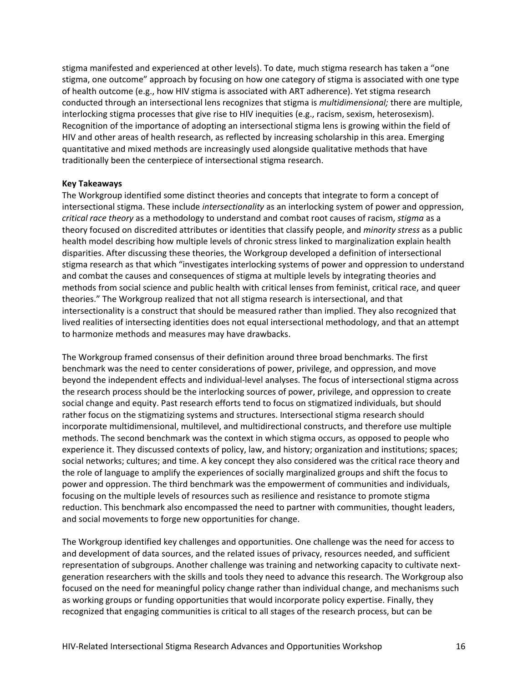stigma manifested and experienced at other levels). To date, much stigma research has taken a "one stigma, one outcome" approach by focusing on how one category of stigma is associated with one type of health outcome (e.g., how HIV stigma is associated with ART adherence). Yet stigma research conducted through an intersectional lens recognizes that stigma is *multidimensional;* there are multiple, interlocking stigma processes that give rise to HIV inequities (e.g., racism, sexism, heterosexism). Recognition of the importance of adopting an intersectional stigma lens is growing within the field of HIV and other areas of health research, as reflected by increasing scholarship in this area. Emerging quantitative and mixed methods are increasingly used alongside qualitative methods that have traditionally been the centerpiece of intersectional stigma research.

#### **Key Takeaways**

The Workgroup identified some distinct theories and concepts that integrate to form a concept of intersectional stigma. These include *intersectionality* as an interlocking system of power and oppression, *critical race theory* as a methodology to understand and combat root causes of racism, *stigma* as a theory focused on discredited attributes or identities that classify people, and *minority stress* as a public health model describing how multiple levels of chronic stress linked to marginalization explain health disparities. After discussing these theories, the Workgroup developed a definition of intersectional stigma research as that which "investigates interlocking systems of power and oppression to understand and combat the causes and consequences of stigma at multiple levels by integrating theories and methods from social science and public health with critical lenses from feminist, critical race, and queer theories." The Workgroup realized that not all stigma research is intersectional, and that intersectionality is a construct that should be measured rather than implied. They also recognized that lived realities of intersecting identities does not equal intersectional methodology, and that an attempt to harmonize methods and measures may have drawbacks.

The Workgroup framed consensus of their definition around three broad benchmarks. The first benchmark was the need to center considerations of power, privilege, and oppression, and move beyond the independent effects and individual-level analyses. The focus of intersectional stigma across the research process should be the interlocking sources of power, privilege, and oppression to create social change and equity. Past research efforts tend to focus on stigmatized individuals, but should rather focus on the stigmatizing systems and structures. Intersectional stigma research should incorporate multidimensional, multilevel, and multidirectional constructs, and therefore use multiple methods. The second benchmark was the context in which stigma occurs, as opposed to people who experience it. They discussed contexts of policy, law, and history; organization and institutions; spaces; social networks; cultures; and time. A key concept they also considered was the critical race theory and the role of language to amplify the experiences of socially marginalized groups and shift the focus to power and oppression. The third benchmark was the empowerment of communities and individuals, focusing on the multiple levels of resources such as resilience and resistance to promote stigma reduction. This benchmark also encompassed the need to partner with communities, thought leaders, and social movements to forge new opportunities for change.

The Workgroup identified key challenges and opportunities. One challenge was the need for access to and development of data sources, and the related issues of privacy, resources needed, and sufficient representation of subgroups. Another challenge was training and networking capacity to cultivate nextgeneration researchers with the skills and tools they need to advance this research. The Workgroup also focused on the need for meaningful policy change rather than individual change, and mechanisms such as working groups or funding opportunities that would incorporate policy expertise. Finally, they recognized that engaging communities is critical to all stages of the research process, but can be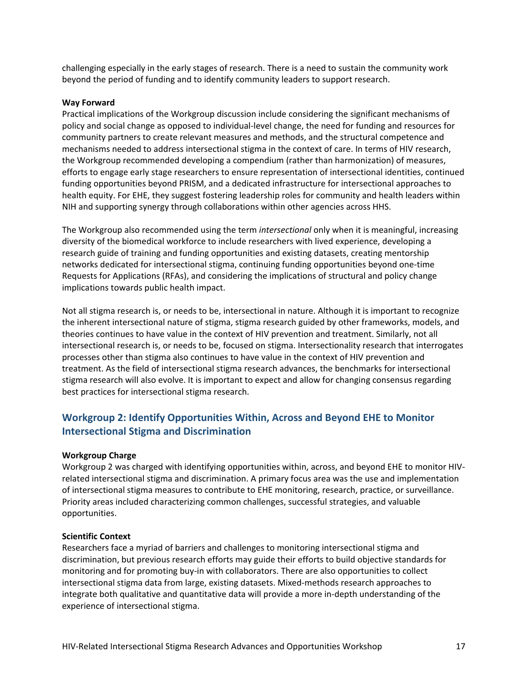challenging especially in the early stages of research. There is a need to sustain the community work beyond the period of funding and to identify community leaders to support research.

#### **Way Forward**

Practical implications of the Workgroup discussion include considering the significant mechanisms of policy and social change as opposed to individual-level change, the need for funding and resources for community partners to create relevant measures and methods, and the structural competence and mechanisms needed to address intersectional stigma in the context of care. In terms of HIV research, the Workgroup recommended developing a compendium (rather than harmonization) of measures, efforts to engage early stage researchers to ensure representation of intersectional identities, continued funding opportunities beyond PRISM, and a dedicated infrastructure for intersectional approaches to health equity. For EHE, they suggest fostering leadership roles for community and health leaders within NIH and supporting synergy through collaborations within other agencies across HHS.

The Workgroup also recommended using the term *intersectional* only when it is meaningful, increasing diversity of the biomedical workforce to include researchers with lived experience, developing a research guide of training and funding opportunities and existing datasets, creating mentorship networks dedicated for intersectional stigma, continuing funding opportunities beyond one-time Requests for Applications (RFAs), and considering the implications of structural and policy change implications towards public health impact.

Not all stigma research is, or needs to be, intersectional in nature. Although it is important to recognize the inherent intersectional nature of stigma, stigma research guided by other frameworks, models, and theories continues to have value in the context of HIV prevention and treatment. Similarly, not all intersectional research is, or needs to be, focused on stigma. Intersectionality research that interrogates processes other than stigma also continues to have value in the context of HIV prevention and treatment. As the field of intersectional stigma research advances, the benchmarks for intersectional stigma research will also evolve. It is important to expect and allow for changing consensus regarding best practices for intersectional stigma research.

# <span id="page-23-0"></span>**Workgroup 2: Identify Opportunities Within, Across and Beyond EHE to Monitor Intersectional Stigma and Discrimination**

#### **Workgroup Charge**

Workgroup 2 was charged with identifying opportunities within, across, and beyond EHE to monitor HIVrelated intersectional stigma and discrimination. A primary focus area was the use and implementation of intersectional stigma measures to contribute to EHE monitoring, research, practice, or surveillance. Priority areas included characterizing common challenges, successful strategies, and valuable opportunities.

#### **Scientific Context**

Researchers face a myriad of barriers and challenges to monitoring intersectional stigma and discrimination, but previous research efforts may guide their efforts to build objective standards for monitoring and for promoting buy-in with collaborators. There are also opportunities to collect intersectional stigma data from large, existing datasets. Mixed-methods research approaches to integrate both qualitative and quantitative data will provide a more in-depth understanding of the experience of intersectional stigma.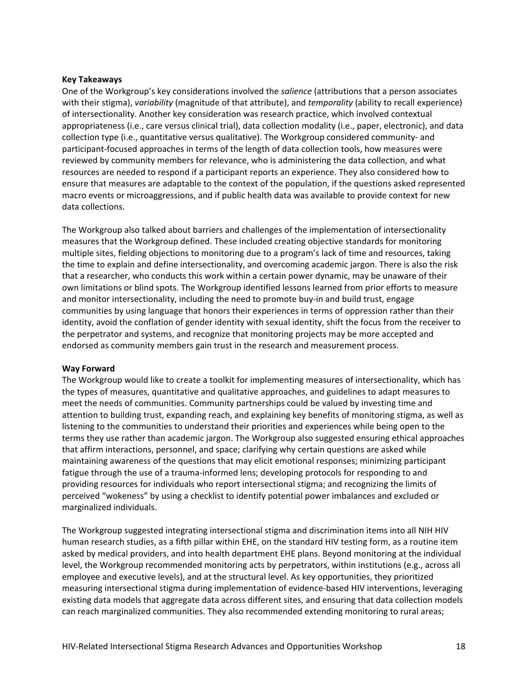## **Key Takeaways**

One of the Workgroup's key considerations involved the *salience* (attributions that a person associates with their stigma), *variability* (magnitude of that attribute), and *temporality* (ability to recall experience) of intersectionality. Another key consideration was research practice, which involved contextual appropriateness (i.e., care versus clinical trial), data collection modality (i.e., paper, electronic), and data collection type (i.e., quantitative versus qualitative). The Workgroup considered community- and participant-focused approaches in terms of the length of data collection tools, how measures were reviewed by community members for relevance, who is administering the data collection, and what resources are needed to respond if a participant reports an experience. They also considered how to ensure that measures are adaptable to the context of the population, if the questions asked represented macro events or microaggressions, and if public health data was available to provide context for new data collections.

The Workgroup also talked about barriers and challenges of the implementation of intersectionality measures that the Workgroup defined. These included creating objective standards for monitoring multiple sites, fielding objections to monitoring due to a program's lack of time and resources, taking the time to explain and define intersectionality, and overcoming academic jargon. There is also the risk that a researcher, who conducts this work within a certain power dynamic, may be unaware of their own limitations or blind spots. The Workgroup identified lessons learned from prior efforts to measure and monitor intersectionality, including the need to promote buy-in and build trust, engage communities by using language that honors their experiences in terms of oppression rather than their identity, avoid the conflation of gender identity with sexual identity, shift the focus from the receiver to the perpetrator and systems, and recognize that monitoring projects may be more accepted and endorsed as community members gain trust in the research and measurement process.

#### **Way Forward**

The Workgroup would like to create a toolkit for implementing measures of intersectionality, which has the types of measures, quantitative and qualitative approaches, and guidelines to adapt measures to meet the needs of communities. Community partnerships could be valued by investing time and attention to building trust, expanding reach, and explaining key benefits of monitoring stigma, as well as listening to the communities to understand their priorities and experiences while being open to the terms they use rather than academic jargon. The Workgroup also suggested ensuring ethical approaches that affirm interactions, personnel, and space; clarifying why certain questions are asked while maintaining awareness of the questions that may elicit emotional responses; minimizing participant fatigue through the use of a trauma-informed lens; developing protocols for responding to and providing resources for individuals who report intersectional stigma; and recognizing the limits of perceived "wokeness" by using a checklist to identify potential power imbalances and excluded or marginalized individuals.

The Workgroup suggested integrating intersectional stigma and discrimination items into all NIH HIV human research studies, as a fifth pillar within EHE, on the standard HIV testing form, as a routine item asked by medical providers, and into health department EHE plans. Beyond monitoring at the individual level, the Workgroup recommended monitoring acts by perpetrators, within institutions (e.g., across all employee and executive levels), and at the structural level. As key opportunities, they prioritized measuring intersectional stigma during implementation of evidence-based HIV interventions, leveraging existing data models that aggregate data across different sites, and ensuring that data collection models can reach marginalized communities. They also recommended extending monitoring to rural areas;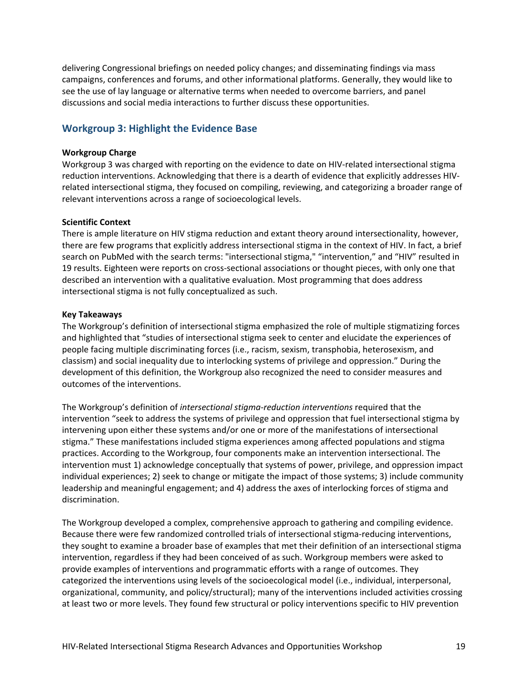delivering Congressional briefings on needed policy changes; and disseminating findings via mass campaigns, conferences and forums, and other informational platforms. Generally, they would like to see the use of lay language or alternative terms when needed to overcome barriers, and panel discussions and social media interactions to further discuss these opportunities.

## <span id="page-25-0"></span>**Workgroup 3: Highlight the Evidence Base**

## **Workgroup Charge**

Workgroup 3 was charged with reporting on the evidence to date on HIV-related intersectional stigma reduction interventions. Acknowledging that there is a dearth of evidence that explicitly addresses HIVrelated intersectional stigma, they focused on compiling, reviewing, and categorizing a broader range of relevant interventions across a range of socioecological levels.

## **Scientific Context**

There is ample literature on HIV stigma reduction and extant theory around intersectionality, however, there are few programs that explicitly address intersectional stigma in the context of HIV. In fact, a brief search on PubMed with the search terms: "intersectional stigma," "intervention," and "HIV" resulted in 19 results. Eighteen were reports on cross-sectional associations or thought pieces, with only one that described an intervention with a qualitative evaluation. Most programming that does address intersectional stigma is not fully conceptualized as such.

## **Key Takeaways**

The Workgroup's definition of intersectional stigma emphasized the role of multiple stigmatizing forces and highlighted that "studies of intersectional stigma seek to center and elucidate the experiences of people facing multiple discriminating forces (i.e., racism, sexism, transphobia, heterosexism, and classism) and social inequality due to interlocking systems of privilege and oppression." During the development of this definition, the Workgroup also recognized the need to consider measures and outcomes of the interventions.

The Workgroup's definition of *intersectional stigma-reduction interventions* required that the intervention "seek to address the systems of privilege and oppression that fuel intersectional stigma by intervening upon either these systems and/or one or more of the manifestations of intersectional stigma." These manifestations included stigma experiences among affected populations and stigma practices. According to the Workgroup, four components make an intervention intersectional. The intervention must 1) acknowledge conceptually that systems of power, privilege, and oppression impact individual experiences; 2) seek to change or mitigate the impact of those systems; 3) include community leadership and meaningful engagement; and 4) address the axes of interlocking forces of stigma and discrimination.

The Workgroup developed a complex, comprehensive approach to gathering and compiling evidence. Because there were few randomized controlled trials of intersectional stigma-reducing interventions, they sought to examine a broader base of examples that met their definition of an intersectional stigma intervention, regardless if they had been conceived of as such. Workgroup members were asked to provide examples of interventions and programmatic efforts with a range of outcomes. They categorized the interventions using levels of the socioecological model (i.e., individual, interpersonal, organizational, community, and policy/structural); many of the interventions included activities crossing at least two or more levels. They found few structural or policy interventions specific to HIV prevention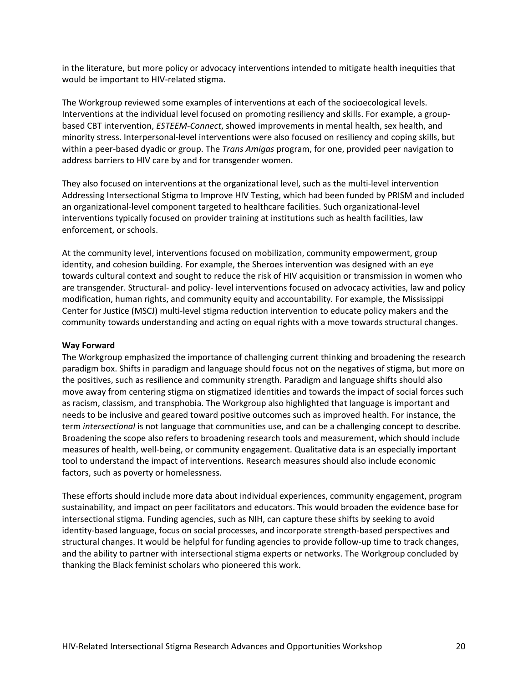in the literature, but more policy or advocacy interventions intended to mitigate health inequities that would be important to HIV-related stigma.

The Workgroup reviewed some examples of interventions at each of the socioecological levels. Interventions at the individual level focused on promoting resiliency and skills. For example, a groupbased CBT intervention, *ESTEEM-Connect*, showed improvements in mental health, sex health, and minority stress. Interpersonal-level interventions were also focused on resiliency and coping skills, but within a peer-based dyadic or group. The *Trans Amigas* program, for one, provided peer navigation to address barriers to HIV care by and for transgender women.

They also focused on interventions at the organizational level, such as the multi-level intervention Addressing Intersectional Stigma to Improve HIV Testing, which had been funded by PRISM and included an organizational-level component targeted to healthcare facilities. Such organizational-level interventions typically focused on provider training at institutions such as health facilities, law enforcement, or schools.

At the community level, interventions focused on mobilization, community empowerment, group identity, and cohesion building. For example, the Sheroes intervention was designed with an eye towards cultural context and sought to reduce the risk of HIV acquisition or transmission in women who are transgender. Structural- and policy- level interventions focused on advocacy activities, law and policy modification, human rights, and community equity and accountability. For example, the Mississippi Center for Justice (MSCJ) multi-level stigma reduction intervention to educate policy makers and the community towards understanding and acting on equal rights with a move towards structural changes.

#### **Way Forward**

The Workgroup emphasized the importance of challenging current thinking and broadening the research paradigm box. Shifts in paradigm and language should focus not on the negatives of stigma, but more on the positives, such as resilience and community strength. Paradigm and language shifts should also move away from centering stigma on stigmatized identities and towards the impact of social forces such as racism, classism, and transphobia. The Workgroup also highlighted that language is important and needs to be inclusive and geared toward positive outcomes such as improved health. For instance, the term *intersectional* is not language that communities use, and can be a challenging concept to describe. Broadening the scope also refers to broadening research tools and measurement, which should include measures of health, well-being, or community engagement. Qualitative data is an especially important tool to understand the impact of interventions. Research measures should also include economic factors, such as poverty or homelessness.

These efforts should include more data about individual experiences, community engagement, program sustainability, and impact on peer facilitators and educators. This would broaden the evidence base for intersectional stigma. Funding agencies, such as NIH, can capture these shifts by seeking to avoid identity-based language, focus on social processes, and incorporate strength-based perspectives and structural changes. It would be helpful for funding agencies to provide follow-up time to track changes, and the ability to partner with intersectional stigma experts or networks. The Workgroup concluded by thanking the Black feminist scholars who pioneered this work.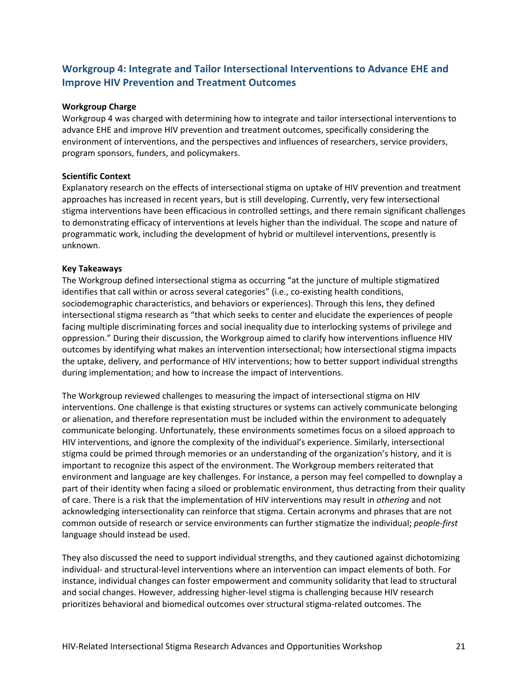# <span id="page-27-0"></span>**Workgroup 4: Integrate and Tailor Intersectional Interventions to Advance EHE and Improve HIV Prevention and Treatment Outcomes**

#### **Workgroup Charge**

Workgroup 4 was charged with determining how to integrate and tailor intersectional interventions to advance EHE and improve HIV prevention and treatment outcomes, specifically considering the environment of interventions, and the perspectives and influences of researchers, service providers, program sponsors, funders, and policymakers.

## **Scientific Context**

Explanatory research on the effects of intersectional stigma on uptake of HIV prevention and treatment approaches has increased in recent years, but is still developing. Currently, very few intersectional stigma interventions have been efficacious in controlled settings, and there remain significant challenges to demonstrating efficacy of interventions at levels higher than the individual. The scope and nature of programmatic work, including the development of hybrid or multilevel interventions, presently is unknown.

## **Key Takeaways**

The Workgroup defined intersectional stigma as occurring "at the juncture of multiple stigmatized identifies that call within or across several categories" (i.e., co-existing health conditions, sociodemographic characteristics, and behaviors or experiences). Through this lens, they defined intersectional stigma research as "that which seeks to center and elucidate the experiences of people facing multiple discriminating forces and social inequality due to interlocking systems of privilege and oppression." During their discussion, the Workgroup aimed to clarify how interventions influence HIV outcomes by identifying what makes an intervention intersectional; how intersectional stigma impacts the uptake, delivery, and performance of HIV interventions; how to better support individual strengths during implementation; and how to increase the impact of interventions.

The Workgroup reviewed challenges to measuring the impact of intersectional stigma on HIV interventions. One challenge is that existing structures or systems can actively communicate belonging or alienation, and therefore representation must be included within the environment to adequately communicate belonging. Unfortunately, these environments sometimes focus on a siloed approach to HIV interventions, and ignore the complexity of the individual's experience. Similarly, intersectional stigma could be primed through memories or an understanding of the organization's history, and it is important to recognize this aspect of the environment. The Workgroup members reiterated that environment and language are key challenges. For instance, a person may feel compelled to downplay a part of their identity when facing a siloed or problematic environment, thus detracting from their quality of care. There is a risk that the implementation of HIV interventions may result in *othering* and not acknowledging intersectionality can reinforce that stigma. Certain acronyms and phrases that are not common outside of research or service environments can further stigmatize the individual; *people-first* language should instead be used.

They also discussed the need to support individual strengths, and they cautioned against dichotomizing individual- and structural-level interventions where an intervention can impact elements of both. For instance, individual changes can foster empowerment and community solidarity that lead to structural and social changes. However, addressing higher-level stigma is challenging because HIV research prioritizes behavioral and biomedical outcomes over structural stigma-related outcomes. The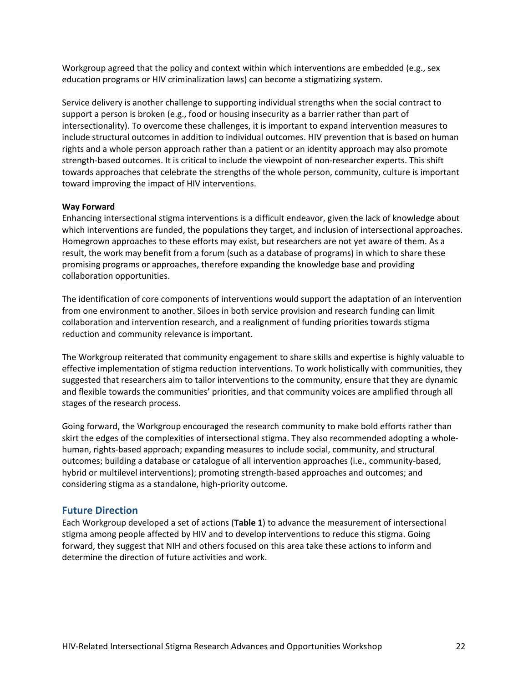Workgroup agreed that the policy and context within which interventions are embedded (e.g., sex education programs or HIV criminalization laws) can become a stigmatizing system.

Service delivery is another challenge to supporting individual strengths when the social contract to support a person is broken (e.g., food or housing insecurity as a barrier rather than part of intersectionality). To overcome these challenges, it is important to expand intervention measures to include structural outcomes in addition to individual outcomes. HIV prevention that is based on human rights and a whole person approach rather than a patient or an identity approach may also promote strength-based outcomes. It is critical to include the viewpoint of non-researcher experts. This shift towards approaches that celebrate the strengths of the whole person, community, culture is important toward improving the impact of HIV interventions.

#### **Way Forward**

Enhancing intersectional stigma interventions is a difficult endeavor, given the lack of knowledge about which interventions are funded, the populations they target, and inclusion of intersectional approaches. Homegrown approaches to these efforts may exist, but researchers are not yet aware of them. As a result, the work may benefit from a forum (such as a database of programs) in which to share these promising programs or approaches, therefore expanding the knowledge base and providing collaboration opportunities.

The identification of core components of interventions would support the adaptation of an intervention from one environment to another. Siloes in both service provision and research funding can limit collaboration and intervention research, and a realignment of funding priorities towards stigma reduction and community relevance is important.

The Workgroup reiterated that community engagement to share skills and expertise is highly valuable to effective implementation of stigma reduction interventions. To work holistically with communities, they suggested that researchers aim to tailor interventions to the community, ensure that they are dynamic and flexible towards the communities' priorities, and that community voices are amplified through all stages of the research process.

Going forward, the Workgroup encouraged the research community to make bold efforts rather than skirt the edges of the complexities of intersectional stigma. They also recommended adopting a wholehuman, rights-based approach; expanding measures to include social, community, and structural outcomes; building a database or catalogue of all intervention approaches (i.e., community-based, hybrid or multilevel interventions); promoting strength-based approaches and outcomes; and considering stigma as a standalone, high-priority outcome.

## <span id="page-28-0"></span>**Future Direction**

Each Workgroup developed a set of actions (**Table 1**) to advance the measurement of intersectional stigma among people affected by HIV and to develop interventions to reduce this stigma. Going forward, they suggest that NIH and others focused on this area take these actions to inform and determine the direction of future activities and work.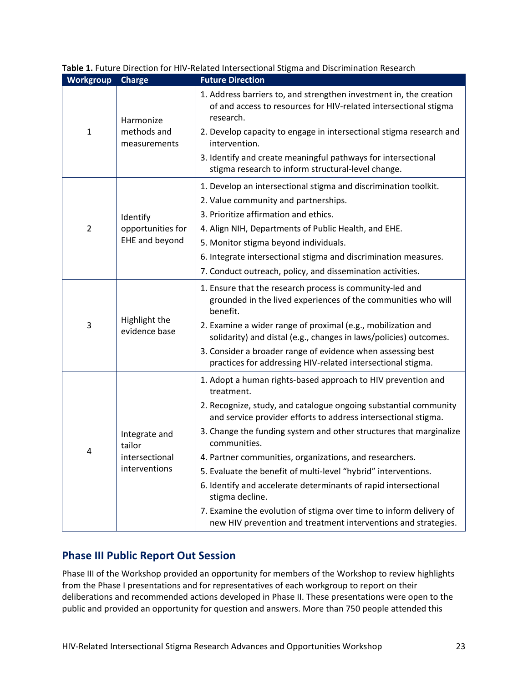| Workgroup      | <b>Charge</b>                                              | <b>Future Direction</b>                                                                                                                             |
|----------------|------------------------------------------------------------|-----------------------------------------------------------------------------------------------------------------------------------------------------|
| $\mathbf{1}$   | Harmonize<br>methods and<br>measurements                   | 1. Address barriers to, and strengthen investment in, the creation<br>of and access to resources for HIV-related intersectional stigma<br>research. |
|                |                                                            | 2. Develop capacity to engage in intersectional stigma research and<br>intervention.                                                                |
|                |                                                            | 3. Identify and create meaningful pathways for intersectional<br>stigma research to inform structural-level change.                                 |
|                |                                                            | 1. Develop an intersectional stigma and discrimination toolkit.                                                                                     |
|                |                                                            | 2. Value community and partnerships.                                                                                                                |
|                | Identify                                                   | 3. Prioritize affirmation and ethics.                                                                                                               |
| $\overline{2}$ | opportunities for<br>EHE and beyond                        | 4. Align NIH, Departments of Public Health, and EHE.                                                                                                |
|                |                                                            | 5. Monitor stigma beyond individuals.                                                                                                               |
|                |                                                            | 6. Integrate intersectional stigma and discrimination measures.                                                                                     |
|                |                                                            | 7. Conduct outreach, policy, and dissemination activities.                                                                                          |
| 3              | Highlight the<br>evidence base                             | 1. Ensure that the research process is community-led and<br>grounded in the lived experiences of the communities who will<br>benefit.               |
|                |                                                            | 2. Examine a wider range of proximal (e.g., mobilization and<br>solidarity) and distal (e.g., changes in laws/policies) outcomes.                   |
|                |                                                            | 3. Consider a broader range of evidence when assessing best<br>practices for addressing HIV-related intersectional stigma.                          |
| 4              | Integrate and<br>tailor<br>intersectional<br>interventions | 1. Adopt a human rights-based approach to HIV prevention and<br>treatment.                                                                          |
|                |                                                            | 2. Recognize, study, and catalogue ongoing substantial community<br>and service provider efforts to address intersectional stigma.                  |
|                |                                                            | 3. Change the funding system and other structures that marginalize<br>communities.                                                                  |
|                |                                                            | 4. Partner communities, organizations, and researchers.                                                                                             |
|                |                                                            | 5. Evaluate the benefit of multi-level "hybrid" interventions.                                                                                      |
|                |                                                            | 6. Identify and accelerate determinants of rapid intersectional<br>stigma decline.                                                                  |
|                |                                                            | 7. Examine the evolution of stigma over time to inform delivery of<br>new HIV prevention and treatment interventions and strategies.                |

## **Table 1.** Future Direction for HIV-Related Intersectional Stigma and Discrimination Research

# <span id="page-29-0"></span>**Phase III Public Report Out Session**

Phase III of the Workshop provided an opportunity for members of the Workshop to review highlights from the Phase I presentations and for representatives of each workgroup to report on their deliberations and recommended actions developed in Phase II. These presentations were open to the public and provided an opportunity for question and answers. More than 750 people attended this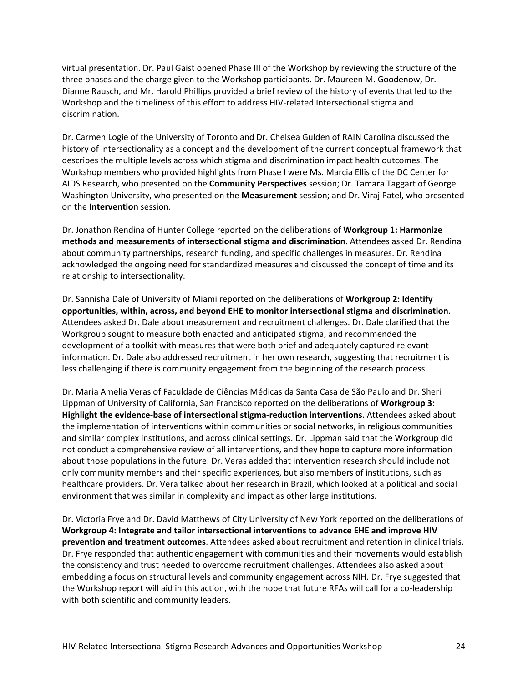virtual presentation. Dr. Paul Gaist opened Phase III of the Workshop by reviewing the structure of the three phases and the charge given to the Workshop participants. Dr. Maureen M. Goodenow, Dr. Dianne Rausch, and Mr. Harold Phillips provided a brief review of the history of events that led to the Workshop and the timeliness of this effort to address HIV-related Intersectional stigma and discrimination.

Dr. Carmen Logie of the University of Toronto and Dr. Chelsea Gulden of RAIN Carolina discussed the history of intersectionality as a concept and the development of the current conceptual framework that describes the multiple levels across which stigma and discrimination impact health outcomes. The Workshop members who provided highlights from Phase I were Ms. Marcia Ellis of the DC Center for AIDS Research, who presented on the **Community Perspectives** session; Dr. Tamara Taggart of George Washington University, who presented on the **Measurement** session; and Dr. Viraj Patel, who presented on the **Intervention** session.

Dr. Jonathon Rendina of Hunter College reported on the deliberations of **Workgroup 1: Harmonize methods and measurements of intersectional stigma and discrimination**. Attendees asked Dr. Rendina about community partnerships, research funding, and specific challenges in measures. Dr. Rendina acknowledged the ongoing need for standardized measures and discussed the concept of time and its relationship to intersectionality.

Dr. Sannisha Dale of University of Miami reported on the deliberations of **Workgroup 2: Identify opportunities, within, across, and beyond EHE to monitor intersectional stigma and discrimination**. Attendees asked Dr. Dale about measurement and recruitment challenges. Dr. Dale clarified that the Workgroup sought to measure both enacted and anticipated stigma, and recommended the development of a toolkit with measures that were both brief and adequately captured relevant information. Dr. Dale also addressed recruitment in her own research, suggesting that recruitment is less challenging if there is community engagement from the beginning of the research process.

Dr. Maria Amelia Veras of Faculdade de Ciências Médicas da Santa Casa de São Paulo and Dr. Sheri Lippman of University of California, San Francisco reported on the deliberations of **Workgroup 3: Highlight the evidence-base of intersectional stigma-reduction interventions**. Attendees asked about the implementation of interventions within communities or social networks, in religious communities and similar complex institutions, and across clinical settings. Dr. Lippman said that the Workgroup did not conduct a comprehensive review of all interventions, and they hope to capture more information about those populations in the future. Dr. Veras added that intervention research should include not only community members and their specific experiences, but also members of institutions, such as healthcare providers. Dr. Vera talked about her research in Brazil, which looked at a political and social environment that was similar in complexity and impact as other large institutions.

Dr. Victoria Frye and Dr. David Matthews of City University of New York reported on the deliberations of **Workgroup 4: Integrate and tailor intersectional interventions to advance EHE and improve HIV prevention and treatment outcomes**. Attendees asked about recruitment and retention in clinical trials. Dr. Frye responded that authentic engagement with communities and their movements would establish the consistency and trust needed to overcome recruitment challenges. Attendees also asked about embedding a focus on structural levels and community engagement across NIH. Dr. Frye suggested that the Workshop report will aid in this action, with the hope that future RFAs will call for a co-leadership with both scientific and community leaders.